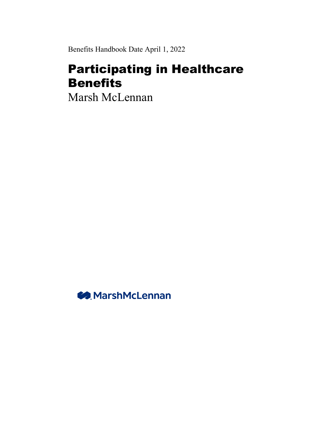Benefits Handbook Date April 1, 2022

# Participating in Healthcare Benefits

Marsh McLennan

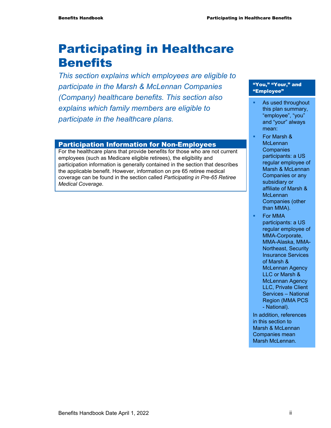# Participating in Healthcare **Benefits**

*This section explains which employees are eligible to participate in the Marsh & McLennan Companies (Company) healthcare benefits. This section also explains which family members are eligible to participate in the healthcare plans.* 

#### Participation Information for Non-Employees

For the healthcare plans that provide benefits for those who are not current employees (such as Medicare eligible retirees), the eligibility and participation information is generally contained in the section that describes the applicable benefit. However, information on pre 65 retiree medical coverage can be found in the section called *Participating in Pre-65 Retiree Medical Coverage*.

#### "You," "Your," and "Employee"

- As used throughout this plan summary, "employee", "you" and "your" always mean:
- For Marsh & **McLennan Companies** participants: a US regular employee of Marsh & McLennan Companies or any subsidiary or affiliate of Marsh & **McLennan** Companies (other than MMA).
	- For MMA participants: a US regular employee of MMA-Corporate, MMA-Alaska, MMA-Northeast, Security Insurance Services of Marsh & McLennan Agency LLC or Marsh & McLennan Agency LLC, Private Client Services – National Region (MMA PCS - National).

In addition, references in this section to Marsh & McLennan Companies mean Marsh McLennan.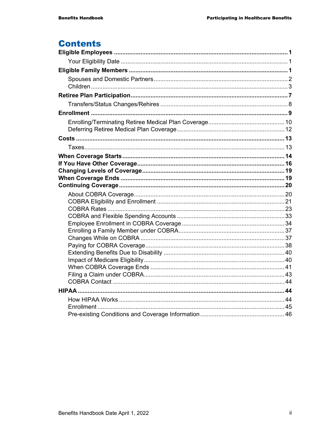# **Contents**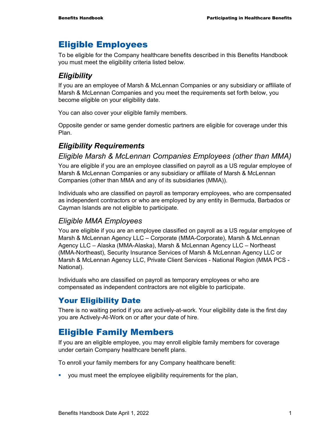# Eligible Employees

To be eligible for the Company healthcare benefits described in this Benefits Handbook you must meet the eligibility criteria listed below.

### *Eligibility*

If you are an employee of Marsh & McLennan Companies or any subsidiary or affiliate of Marsh & McLennan Companies and you meet the requirements set forth below, you become eligible on your eligibility date.

You can also cover your eligible family members.

Opposite gender or same gender domestic partners are eligible for coverage under this Plan.

# *Eligibility Requirements*

#### *Eligible Marsh & McLennan Companies Employees (other than MMA)*

You are eligible if you are an employee classified on payroll as a US regular employee of Marsh & McLennan Companies or any subsidiary or affiliate of Marsh & McLennan Companies (other than MMA and any of its subsidiaries (MMA)).

Individuals who are classified on payroll as temporary employees, who are compensated as independent contractors or who are employed by any entity in Bermuda, Barbados or Cayman Islands are not eligible to participate.

### *Eligible MMA Employees*

You are eligible if you are an employee classified on payroll as a US regular employee of Marsh & McLennan Agency LLC – Corporate (MMA-Corporate), Marsh & McLennan Agency LLC – Alaska (MMA-Alaska), Marsh & McLennan Agency LLC – Northeast (MMA-Northeast), Security Insurance Services of Marsh & McLennan Agency LLC or Marsh & McLennan Agency LLC, Private Client Services - National Region (MMA PCS - National).

Individuals who are classified on payroll as temporary employees or who are compensated as independent contractors are not eligible to participate.

# Your Eligibility Date

There is no waiting period if you are actively-at-work. Your eligibility date is the first day you are Actively-At-Work on or after your date of hire.

# Eligible Family Members

If you are an eligible employee, you may enroll eligible family members for coverage under certain Company healthcare benefit plans.

To enroll your family members for any Company healthcare benefit:

you must meet the employee eligibility requirements for the plan,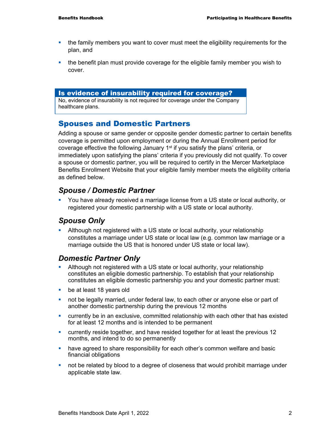- the family members you want to cover must meet the eligibility requirements for the plan, and
- the benefit plan must provide coverage for the eligible family member you wish to cover.

#### Is evidence of insurability required for coverage?

No, evidence of insurability is not required for coverage under the Company healthcare plans.

### Spouses and Domestic Partners

Adding a spouse or same gender or opposite gender domestic partner to certain benefits coverage is permitted upon employment or during the Annual Enrollment period for coverage effective the following January  $1<sup>st</sup>$  if you satisfy the plans' criteria, or immediately upon satisfying the plans' criteria if you previously did not qualify. To cover a spouse or domestic partner, you will be required to certify in the Mercer Marketplace Benefits Enrollment Website that your eligible family member meets the eligibility criteria as defined below.

#### *Spouse / Domestic Partner*

 You have already received a marriage license from a US state or local authority, or registered your domestic partnership with a US state or local authority.

#### *Spouse Only*

 Although not registered with a US state or local authority, your relationship constitutes a marriage under US state or local law (e.g. common law marriage or a marriage outside the US that is honored under US state or local law).

#### *Domestic Partner Only*

- Although not registered with a US state or local authority, your relationship constitutes an eligible domestic partnership. To establish that your relationship constitutes an eligible domestic partnership you and your domestic partner must:
- **be at least 18 years old**
- not be legally married, under federal law, to each other or anyone else or part of another domestic partnership during the previous 12 months
- currently be in an exclusive, committed relationship with each other that has existed for at least 12 months and is intended to be permanent
- currently reside together, and have resided together for at least the previous 12 months, and intend to do so permanently
- **•** have agreed to share responsibility for each other's common welfare and basic financial obligations
- **•** not be related by blood to a degree of closeness that would prohibit marriage under applicable state law.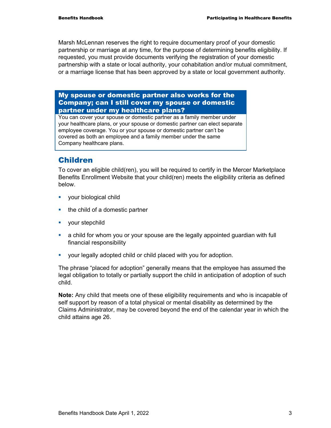Marsh McLennan reserves the right to require documentary proof of your domestic partnership or marriage at any time, for the purpose of determining benefits eligibility. If requested, you must provide documents verifying the registration of your domestic partnership with a state or local authority, your cohabitation and/or mutual commitment, or a marriage license that has been approved by a state or local government authority.

My spouse or domestic partner also works for the Company; can I still cover my spouse or domestic partner under my healthcare plans?

You can cover your spouse or domestic partner as a family member under your healthcare plans, or your spouse or domestic partner can elect separate employee coverage. You or your spouse or domestic partner can't be covered as both an employee and a family member under the same Company healthcare plans.

### Children

To cover an eligible child(ren), you will be required to certify in the Mercer Marketplace Benefits Enrollment Website that your child(ren) meets the eligibility criteria as defined below.

- **vour biological child**
- $\blacksquare$  the child of a domestic partner
- **v** your stepchild
- a child for whom you or your spouse are the legally appointed guardian with full financial responsibility
- your legally adopted child or child placed with you for adoption.

The phrase "placed for adoption" generally means that the employee has assumed the legal obligation to totally or partially support the child in anticipation of adoption of such child.

**Note:** Any child that meets one of these eligibility requirements and who is incapable of self support by reason of a total physical or mental disability as determined by the Claims Administrator, may be covered beyond the end of the calendar year in which the child attains age 26.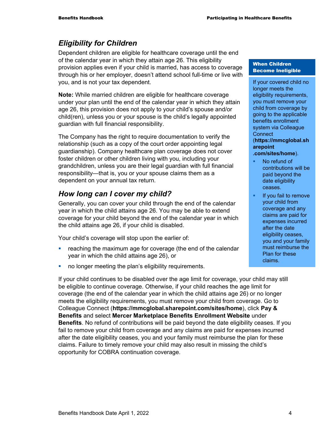# *Eligibility for Children*

Dependent children are eligible for healthcare coverage until the end of the calendar year in which they attain age 26. This eligibility provision applies even if your child is married, has access to coverage through his or her employer, doesn't attend school full-time or live with you, and is not your tax dependent.

**Note:** While married children are eligible for healthcare coverage under your plan until the end of the calendar year in which they attain age 26, this provision does not apply to your child's spouse and/or child(ren), unless you or your spouse is the child's legally appointed guardian with full financial responsibility.

The Company has the right to require documentation to verify the relationship (such as a copy of the court order appointing legal guardianship). Company healthcare plan coverage does not cover foster children or other children living with you, including your grandchildren, unless you are their legal guardian with full financial responsibility—that is, you or your spouse claims them as a dependent on your annual tax return.

# *How long can I cover my child?*

Generally, you can cover your child through the end of the calendar year in which the child attains age 26. You may be able to extend coverage for your child beyond the end of the calendar year in which the child attains age 26, if your child is disabled.

Your child's coverage will stop upon the earlier of:

- **F** reaching the maximum age for coverage (the end of the calendar year in which the child attains age 26), or
- no longer meeting the plan's eligibility requirements.

If your child continues to be disabled over the age limit for coverage, your child may still be eligible to continue coverage. Otherwise, if your child reaches the age limit for coverage (the end of the calendar year in which the child attains age 26) or no longer meets the eligibility requirements, you must remove your child from coverage. Go to Colleague Connect (**https://mmcglobal.sharepoint.com/sites/home**), click **Pay & Benefits** and select **Mercer Marketplace Benefits Enrollment Website** under **Benefits**. No refund of contributions will be paid beyond the date eligibility ceases. If you fail to remove your child from coverage and any claims are paid for expenses incurred after the date eligibility ceases, you and your family must reimburse the plan for these claims. Failure to timely remove your child may also result in missing the child's opportunity for COBRA continuation coverage.

#### When Children Become Ineligible

If your covered child no longer meets the eligibility requirements, you must remove your child from coverage by going to the applicable benefits enrollment system via Colleague **Connect** (**https://mmcglobal.sh arepoint**

**.com/sites/home**).

- No refund of contributions will be paid beyond the date eligibility ceases.
- If you fail to remove your child from coverage and any claims are paid for expenses incurred after the date eligibility ceases, you and your family must reimburse the Plan for these claims.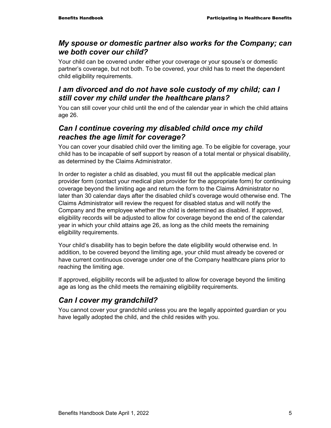### *My spouse or domestic partner also works for the Company; can we both cover our child?*

Your child can be covered under either your coverage or your spouse's or domestic partner's coverage, but not both. To be covered, your child has to meet the dependent child eligibility requirements.

### *I am divorced and do not have sole custody of my child; can I still cover my child under the healthcare plans?*

You can still cover your child until the end of the calendar year in which the child attains age 26.

# *Can I continue covering my disabled child once my child reaches the age limit for coverage?*

You can cover your disabled child over the limiting age. To be eligible for coverage, your child has to be incapable of self support by reason of a total mental or physical disability, as determined by the Claims Administrator.

In order to register a child as disabled, you must fill out the applicable medical plan provider form (contact your medical plan provider for the appropriate form) for continuing coverage beyond the limiting age and return the form to the Claims Administrator no later than 30 calendar days after the disabled child's coverage would otherwise end. The Claims Administrator will review the request for disabled status and will notify the Company and the employee whether the child is determined as disabled. If approved, eligibility records will be adjusted to allow for coverage beyond the end of the calendar year in which your child attains age 26, as long as the child meets the remaining eligibility requirements.

Your child's disability has to begin before the date eligibility would otherwise end. In addition, to be covered beyond the limiting age, your child must already be covered or have current continuous coverage under one of the Company healthcare plans prior to reaching the limiting age.

If approved, eligibility records will be adjusted to allow for coverage beyond the limiting age as long as the child meets the remaining eligibility requirements.

# *Can I cover my grandchild?*

You cannot cover your grandchild unless you are the legally appointed guardian or you have legally adopted the child, and the child resides with you.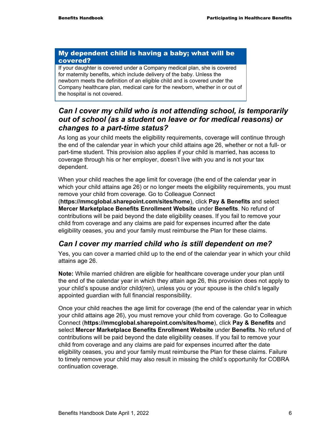#### My dependent child is having a baby; what will be covered?

If your daughter is covered under a Company medical plan, she is covered for maternity benefits, which include delivery of the baby. Unless the newborn meets the definition of an eligible child and is covered under the Company healthcare plan, medical care for the newborn, whether in or out of the hospital is not covered.

### *Can I cover my child who is not attending school, is temporarily out of school (as a student on leave or for medical reasons) or changes to a part-time status?*

As long as your child meets the eligibility requirements, coverage will continue through the end of the calendar year in which your child attains age 26, whether or not a full- or part-time student. This provision also applies if your child is married, has access to coverage through his or her employer, doesn't live with you and is not your tax dependent.

When your child reaches the age limit for coverage (the end of the calendar year in which your child attains age 26) or no longer meets the eligibility requirements, you must remove your child from coverage. Go to Colleague Connect

(**https://mmcglobal.sharepoint.com/sites/home**), click **Pay & Benefits** and select **Mercer Marketplace Benefits Enrollment Website** under **Benefits**. No refund of contributions will be paid beyond the date eligibility ceases. If you fail to remove your child from coverage and any claims are paid for expenses incurred after the date eligibility ceases, you and your family must reimburse the Plan for these claims.

# *Can I cover my married child who is still dependent on me?*

Yes, you can cover a married child up to the end of the calendar year in which your child attains age 26.

**Note:** While married children are eligible for healthcare coverage under your plan until the end of the calendar year in which they attain age 26, this provision does not apply to your child's spouse and/or child(ren), unless you or your spouse is the child's legally appointed guardian with full financial responsibility.

Once your child reaches the age limit for coverage (the end of the calendar year in which your child attains age 26), you must remove your child from coverage. Go to Colleague Connect (**https://mmcglobal.sharepoint.com/sites/home**), click **Pay & Benefits** and select **Mercer Marketplace Benefits Enrollment Website** under **Benefits**. No refund of contributions will be paid beyond the date eligibility ceases. If you fail to remove your child from coverage and any claims are paid for expenses incurred after the date eligibility ceases, you and your family must reimburse the Plan for these claims. Failure to timely remove your child may also result in missing the child's opportunity for COBRA continuation coverage.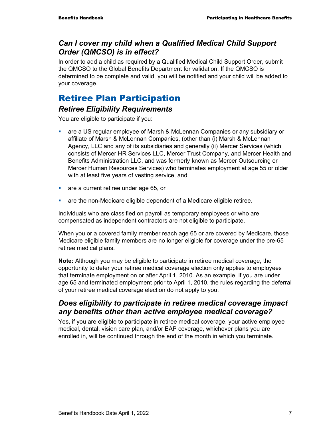### *Can I cover my child when a Qualified Medical Child Support Order (QMCSO) is in effect?*

In order to add a child as required by a Qualified Medical Child Support Order, submit the QMCSO to the Global Benefits Department for validation. If the QMCSO is determined to be complete and valid, you will be notified and your child will be added to your coverage.

# Retiree Plan Participation

### *Retiree Eligibility Requirements*

You are eligible to participate if you:

- are a US regular employee of Marsh & McLennan Companies or any subsidiary or affiliate of Marsh & McLennan Companies, (other than (i) Marsh & McLennan Agency, LLC and any of its subsidiaries and generally (ii) Mercer Services (which consists of Mercer HR Services LLC, Mercer Trust Company, and Mercer Health and Benefits Administration LLC, and was formerly known as Mercer Outsourcing or Mercer Human Resources Services) who terminates employment at age 55 or older with at least five years of vesting service, and
- **are a current retiree under age 65, or**
- are the non-Medicare eligible dependent of a Medicare eligible retiree.

Individuals who are classified on payroll as temporary employees or who are compensated as independent contractors are not eligible to participate.

When you or a covered family member reach age 65 or are covered by Medicare, those Medicare eligible family members are no longer eligible for coverage under the pre-65 retiree medical plans.

**Note:** Although you may be eligible to participate in retiree medical coverage, the opportunity to defer your retiree medical coverage election only applies to employees that terminate employment on or after April 1, 2010. As an example, if you are under age 65 and terminated employment prior to April 1, 2010, the rules regarding the deferral of your retiree medical coverage election do not apply to you.

### *Does eligibility to participate in retiree medical coverage impact any benefits other than active employee medical coverage?*

Yes, if you are eligible to participate in retiree medical coverage, your active employee medical, dental, vision care plan, and/or EAP coverage, whichever plans you are enrolled in, will be continued through the end of the month in which you terminate.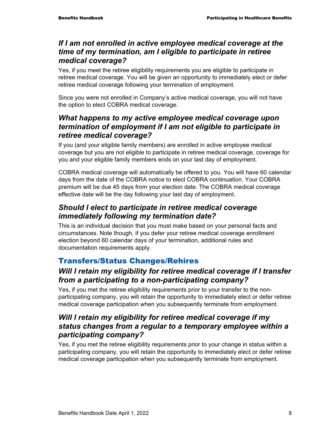### *If I am not enrolled in active employee medical coverage at the time of my termination, am I eligible to participate in retiree medical coverage?*

Yes, if you meet the retiree eligibility requirements you are eligible to participate in retiree medical coverage. You will be given an opportunity to immediately elect or defer retiree medical coverage following your termination of employment.

Since you were not enrolled in Company's active medical coverage, you will not have the option to elect COBRA medical coverage.

## *What happens to my active employee medical coverage upon termination of employment if I am not eligible to participate in retiree medical coverage?*

If you (and your eligible family members) are enrolled in active employee medical coverage but you are not eligible to participate in retiree medical coverage, coverage for you and your eligible family members ends on your last day of employment.

COBRA medical coverage will automatically be offered to you. You will have 60 calendar days from the date of the COBRA notice to elect COBRA continuation. Your COBRA premium will be due 45 days from your election date. The COBRA medical coverage effective date will be the day following your last day of employment.

# *Should I elect to participate in retiree medical coverage immediately following my termination date?*

This is an individual decision that you must make based on your personal facts and circumstances. Note though, if you defer your retiree medical coverage enrollment election beyond 60 calendar days of your termination, additional rules and documentation requirements apply.

# Transfers/Status Changes/Rehires

# *Will I retain my eligibility for retiree medical coverage if I transfer from a participating to a non-participating company?*

Yes, if you met the retiree eligibility requirements prior to your transfer to the nonparticipating company, you will retain the opportunity to immediately elect or defer retiree medical coverage participation when you subsequently terminate from employment.

# *Will I retain my eligibility for retiree medical coverage if my status changes from a regular to a temporary employee within a participating company?*

Yes, if you met the retiree eligibility requirements prior to your change in status within a participating company, you will retain the opportunity to immediately elect or defer retiree medical coverage participation when you subsequently terminate from employment.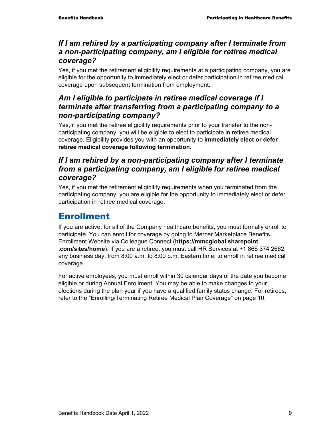# *If I am rehired by a participating company after I terminate from a non-participating company, am I eligible for retiree medical coverage?*

Yes, if you met the retirement eligibility requirements at a participating company, you are eligible for the opportunity to immediately elect or defer participation in retiree medical coverage upon subsequent termination from employment.

# *Am I eligible to participate in retiree medical coverage if I terminate after transferring from a participating company to a non-participating company?*

Yes, if you met the retiree eligibility requirements prior to your transfer to the nonparticipating company, you will be eligible to elect to participate in retiree medical coverage. Eligibility provides you with an opportunity to **immediately elect or defer retiree medical coverage following termination**.

# *If I am rehired by a non-participating company after I terminate from a participating company, am I eligible for retiree medical coverage?*

Yes, if you met the retirement eligibility requirements when you terminated from the participating company, you are eligible for the opportunity to immediately elect or defer participation in retiree medical coverage.

# Enrollment

If you are active, for all of the Company healthcare benefits, you must formally enroll to participate. You can enroll for coverage by going to Mercer Marketplace Benefits Enrollment Website via Colleague Connect (**https://mmcglobal.sharepoint .com/sites/home**). If you are a retiree, you must call HR Services at +1 866 374 2662, any business day, from 8:00 a.m. to 8:00 p.m. Eastern time, to enroll in retiree medical coverage.

For active employees, you must enroll within 30 calendar days of the date you become eligible or during Annual Enrollment. You may be able to make changes to your elections during the plan year if you have a qualified family status change. For retirees, refer to the "Enrolling/Terminating Retiree Medical Plan Coverage" on page 10.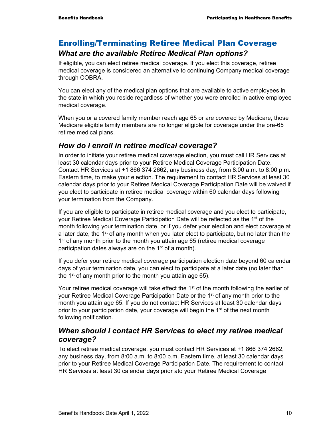# Enrolling/Terminating Retiree Medical Plan Coverage *What are the available Retiree Medical Plan options?*

If eligible, you can elect retiree medical coverage. If you elect this coverage, retiree medical coverage is considered an alternative to continuing Company medical coverage through COBRA.

You can elect any of the medical plan options that are available to active employees in the state in which you reside regardless of whether you were enrolled in active employee medical coverage.

When you or a covered family member reach age 65 or are covered by Medicare, those Medicare eligible family members are no longer eligible for coverage under the pre-65 retiree medical plans.

### *How do I enroll in retiree medical coverage?*

In order to initiate your retiree medical coverage election, you must call HR Services at least 30 calendar days prior to your Retiree Medical Coverage Participation Date. Contact HR Services at +1 866 374 2662, any business day, from 8:00 a.m. to 8:00 p.m. Eastern time, to make your election. The requirement to contact HR Services at least 30 calendar days prior to your Retiree Medical Coverage Participation Date will be waived if you elect to participate in retiree medical coverage within 60 calendar days following your termination from the Company.

If you are eligible to participate in retiree medical coverage and you elect to participate, your Retiree Medical Coverage Participation Date will be reflected as the 1<sup>st</sup> of the month following your termination date, or if you defer your election and elect coverage at a later date, the 1<sup>st</sup> of any month when you later elect to participate, but no later than the  $1<sup>st</sup>$  of any month prior to the month you attain age 65 (retiree medical coverage participation dates always are on the  $1<sup>st</sup>$  of a month).

If you defer your retiree medical coverage participation election date beyond 60 calendar days of your termination date, you can elect to participate at a later date (no later than the  $1<sup>st</sup>$  of any month prior to the month you attain age 65).

Your retiree medical coverage will take effect the 1<sup>st</sup> of the month following the earlier of your Retiree Medical Coverage Participation Date or the 1<sup>st</sup> of any month prior to the month you attain age 65. If you do not contact HR Services at least 30 calendar days prior to your participation date, your coverage will begin the 1st of the next month following notification.

### *When should I contact HR Services to elect my retiree medical coverage?*

To elect retiree medical coverage, you must contact HR Services at +1 866 374 2662, any business day, from 8:00 a.m. to 8:00 p.m. Eastern time, at least 30 calendar days prior to your Retiree Medical Coverage Participation Date. The requirement to contact HR Services at least 30 calendar days prior ato your Retiree Medical Coverage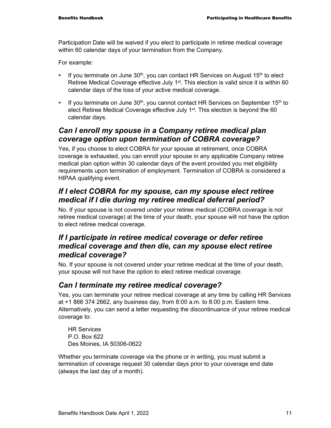Participation Date will be waived if you elect to participate in retiree medical coverage within 60 calendar days of your termination from the Company.

For example:

- If you terminate on June  $30<sup>th</sup>$ , you can contact HR Services on August 15<sup>th</sup> to elect Retiree Medical Coverage effective July 1<sup>st</sup>. This election is valid since it is within 60 calendar days of the loss of your active medical coverage.
- If you terminate on June  $30<sup>th</sup>$ , you cannot contact HR Services on September 15<sup>th</sup> to elect Retiree Medical Coverage effective July 1<sup>st</sup>. This election is beyond the 60 calendar days.

## *Can I enroll my spouse in a Company retiree medical plan coverage option upon termination of COBRA coverage?*

Yes, if you choose to elect COBRA for your spouse at retirement, once COBRA coverage is exhausted, you can enroll your spouse in any applicable Company retiree medical plan option within 30 calendar days of the event provided you met eligibility requirements upon termination of employment. Termination of COBRA is considered a HIPAA qualifying event.

### *If I elect COBRA for my spouse, can my spouse elect retiree medical if I die during my retiree medical deferral period?*

No. If your spouse is not covered under your retiree medical (COBRA coverage is not retiree medical coverage) at the time of your death, your spouse will not have the option to elect retiree medical coverage.

### *If I participate in retiree medical coverage or defer retiree medical coverage and then die, can my spouse elect retiree medical coverage?*

No. If your spouse is not covered under your retiree medical at the time of your death, your spouse will not have the option to elect retiree medical coverage.

### *Can I terminate my retiree medical coverage?*

Yes, you can terminate your retiree medical coverage at any time by calling HR Services at +1 866 374 2662, any business day, from 8:00 a.m. to 8:00 p.m. Eastern time. Alternatively, you can send a letter requesting the discontinuance of your retiree medical coverage to:

HR Services P.O. Box 622 Des Moines, IA 50306-0622

Whether you terminate coverage via the phone or in writing, you must submit a termination of coverage request 30 calendar days prior to your coverage end date (always the last day of a month).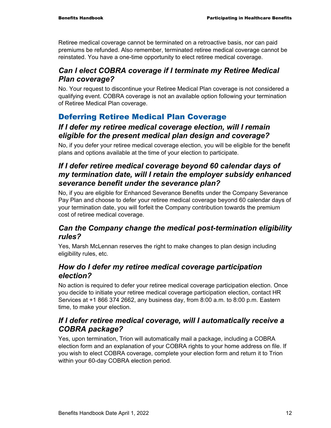Retiree medical coverage cannot be terminated on a retroactive basis, nor can paid premiums be refunded. Also remember, terminated retiree medical coverage cannot be reinstated. You have a one-time opportunity to elect retiree medical coverage.

# *Can I elect COBRA coverage if I terminate my Retiree Medical Plan coverage?*

No. Your request to discontinue your Retiree Medical Plan coverage is not considered a qualifying event. COBRA coverage is not an available option following your termination of Retiree Medical Plan coverage.

# Deferring Retiree Medical Plan Coverage

### *If I defer my retiree medical coverage election, will I remain eligible for the present medical plan design and coverage?*

No, if you defer your retiree medical coverage election, you will be eligible for the benefit plans and options available at the time of your election to participate.

# *If I defer retiree medical coverage beyond 60 calendar days of my termination date, will I retain the employer subsidy enhanced severance benefit under the severance plan?*

No, if you are eligible for Enhanced Severance Benefits under the Company Severance Pay Plan and choose to defer your retiree medical coverage beyond 60 calendar days of your termination date, you will forfeit the Company contribution towards the premium cost of retiree medical coverage.

### *Can the Company change the medical post-termination eligibility rules?*

Yes, Marsh McLennan reserves the right to make changes to plan design including eligibility rules, etc.

### *How do I defer my retiree medical coverage participation election?*

No action is required to defer your retiree medical coverage participation election. Once you decide to initiate your retiree medical coverage participation election, contact HR Services at +1 866 374 2662, any business day, from 8:00 a.m. to 8:00 p.m. Eastern time, to make your election.

### *If I defer retiree medical coverage, will I automatically receive a COBRA package?*

Yes, upon termination, Trion will automatically mail a package, including a COBRA election form and an explanation of your COBRA rights to your home address on file. If you wish to elect COBRA coverage, complete your election form and return it to Trion within your 60-day COBRA election period.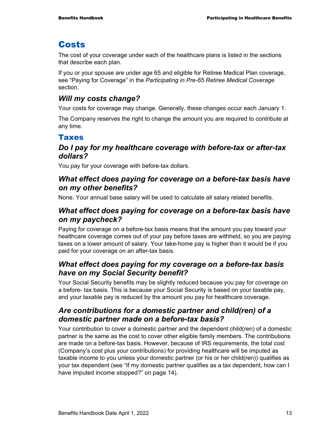# **Costs**

The cost of your coverage under each of the healthcare plans is listed in the sections that describe each plan.

If you or your spouse are under age 65 and eligible for Retiree Medical Plan coverage, see "Paying for Coverage" in the *Participating in Pre-65 Retiree Medical Coverage* section.

### *Will my costs change?*

Your costs for coverage may change. Generally, these changes occur each January 1.

The Company reserves the right to change the amount you are required to contribute at any time.

### Taxes

### *Do I pay for my healthcare coverage with before-tax or after-tax dollars?*

You pay for your coverage with before-tax dollars.

### *What effect does paying for coverage on a before-tax basis have on my other benefits?*

None. Your annual base salary will be used to calculate all salary related benefits.

## *What effect does paying for coverage on a before-tax basis have on my paycheck?*

Paying for coverage on a before-tax basis means that the amount you pay toward your healthcare coverage comes out of your pay before taxes are withheld, so you are paying taxes on a lower amount of salary. Your take-home pay is higher than it would be if you paid for your coverage on an after-tax basis.

### *What effect does paying for my coverage on a before-tax basis have on my Social Security benefit?*

Your Social Security benefits may be slightly reduced because you pay for coverage on a before- tax basis. This is because your Social Security is based on your taxable pay, and your taxable pay is reduced by the amount you pay for healthcare coverage.

# *Are contributions for a domestic partner and child(ren) of a domestic partner made on a before-tax basis?*

Your contribution to cover a domestic partner and the dependent child(ren) of a domestic partner is the same as the cost to cover other eligible family members. The contributions are made on a before-tax basis. However, because of IRS requirements, the total cost (Company's cost plus your contributions) for providing healthcare will be imputed as taxable income to you unless your domestic partner (or his or her child(ren)) qualifies as your tax dependent (see "If my domestic partner qualifies as a tax dependent, how can I have imputed income stopped?" on page 14).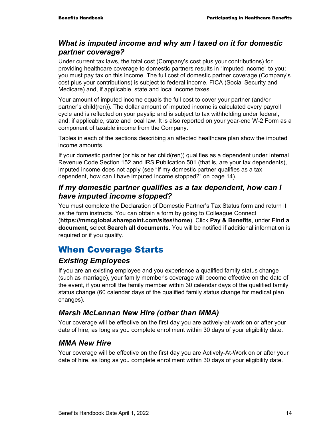### *What is imputed income and why am I taxed on it for domestic partner coverage?*

Under current tax laws, the total cost (Company's cost plus your contributions) for providing healthcare coverage to domestic partners results in "imputed income" to you; you must pay tax on this income. The full cost of domestic partner coverage (Company's cost plus your contributions) is subject to federal income, FICA (Social Security and Medicare) and, if applicable, state and local income taxes.

Your amount of imputed income equals the full cost to cover your partner (and/or partner's child(ren)). The dollar amount of imputed income is calculated every payroll cycle and is reflected on your payslip and is subject to tax withholding under federal, and, if applicable, state and local law. It is also reported on your year-end W-2 Form as a component of taxable income from the Company.

Tables in each of the sections describing an affected healthcare plan show the imputed income amounts.

If your domestic partner (or his or her child(ren)) qualifies as a dependent under Internal Revenue Code Section 152 and IRS Publication 501 (that is, are your tax dependents), imputed income does not apply (see "If my domestic partner qualifies as a tax dependent, how can I have imputed income stopped?" on page 14).

### *If my domestic partner qualifies as a tax dependent, how can I have imputed income stopped?*

You must complete the Declaration of Domestic Partner's Tax Status form and return it as the form instructs. You can obtain a form by going to Colleague Connect (**https://mmcglobal.sharepoint.com/sites/home**). Click **Pay & Benefits**, under **Find a document**, select **Search all documents**. You will be notified if additional information is required or if you qualify.

# When Coverage Starts

### *Existing Employees*

If you are an existing employee and you experience a qualified family status change (such as marriage), your family member's coverage will become effective on the date of the event, if you enroll the family member within 30 calendar days of the qualified family status change (60 calendar days of the qualified family status change for medical plan changes).

### *Marsh McLennan New Hire (other than MMA)*

Your coverage will be effective on the first day you are actively-at-work on or after your date of hire, as long as you complete enrollment within 30 days of your eligibility date.

### *MMA New Hire*

Your coverage will be effective on the first day you are Actively-At-Work on or after your date of hire, as long as you complete enrollment within 30 days of your eligibility date.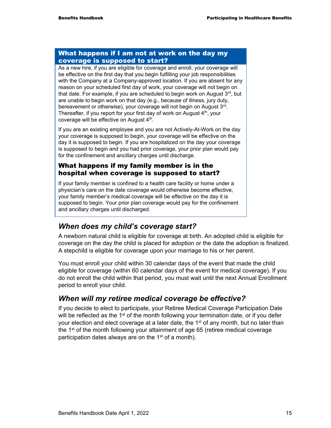#### What happens if I am not at work on the day my coverage is supposed to start?

As a new hire, if you are eligible for coverage and enroll, your coverage will be effective on the first day that you begin fulfilling your job responsibilities with the Company at a Company-approved location. If you are absent for any reason on your scheduled first day of work, your coverage will not begin on that date. For example, if you are scheduled to begin work on August  $3<sup>rd</sup>$ , but are unable to begin work on that day (e.g., because of illness, jury duty, bereavement or otherwise), your coverage will not begin on August 3rd. Thereafter, if you report for your first day of work on August 4<sup>th</sup>, your coverage will be effective on August 4<sup>th</sup>.

If you are an existing employee and you are not Actively-At-Work on the day your coverage is supposed to begin, your coverage will be effective on the day it is supposed to begin. If you are hospitalized on the day your coverage is supposed to begin and you had prior coverage, your prior plan would pay for the confinement and ancillary charges until discharge.

#### What happens if my family member is in the hospital when coverage is supposed to start?

If your family member is confined to a health care facility or home under a physician's care on the date coverage would otherwise become effective, your family member's medical coverage will be effective on the day it is supposed to begin. Your prior plan coverage would pay for the confinement and ancillary charges until discharged.

### *When does my child's coverage start?*

A newborn natural child is eligible for coverage at birth. An adopted child is eligible for coverage on the day the child is placed for adoption or the date the adoption is finalized. A stepchild is eligible for coverage upon your marriage to his or her parent.

You must enroll your child within 30 calendar days of the event that made the child eligible for coverage (within 60 calendar days of the event for medical coverage). If you do not enroll the child within that period, you must wait until the next Annual Enrollment period to enroll your child.

### *When will my retiree medical coverage be effective?*

If you decide to elect to participate, your Retiree Medical Coverage Participation Date will be reflected as the 1<sup>st</sup> of the month following your termination date, or if you defer your election and elect coverage at a later date, the  $1<sup>st</sup>$  of any month, but no later than the 1<sup>st</sup> of the month following your attainment of age 65 (retiree medical coverage participation dates always are on the 1<sup>st</sup> of a month).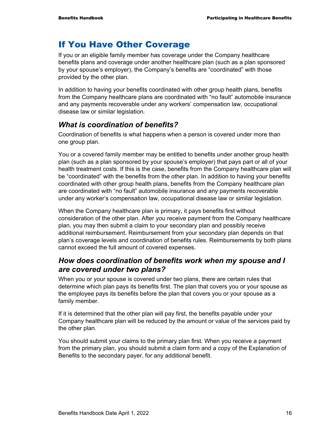# If You Have Other Coverage

If you or an eligible family member has coverage under the Company healthcare benefits plans and coverage under another healthcare plan (such as a plan sponsored by your spouse's employer), the Company's benefits are "coordinated" with those provided by the other plan.

In addition to having your benefits coordinated with other group health plans, benefits from the Company healthcare plans are coordinated with "no fault" automobile insurance and any payments recoverable under any workers' compensation law, occupational disease law or similar legislation.

### *What is coordination of benefits?*

Coordination of benefits is what happens when a person is covered under more than one group plan.

You or a covered family member may be entitled to benefits under another group health plan (such as a plan sponsored by your spouse's employer) that pays part or all of your health treatment costs. If this is the case, benefits from the Company healthcare plan will be "coordinated" with the benefits from the other plan. In addition to having your benefits coordinated with other group health plans, benefits from the Company healthcare plan are coordinated with "no fault" automobile insurance and any payments recoverable under any worker's compensation law, occupational disease law or similar legislation.

When the Company healthcare plan is primary, it pays benefits first without consideration of the other plan. After you receive payment from the Company healthcare plan, you may then submit a claim to your secondary plan and possibly receive additional reimbursement. Reimbursement from your secondary plan depends on that plan's coverage levels and coordination of benefits rules. Reimbursements by both plans cannot exceed the full amount of covered expenses.

### *How does coordination of benefits work when my spouse and I are covered under two plans?*

When you or your spouse is covered under two plans, there are certain rules that determine which plan pays its benefits first. The plan that covers you or your spouse as the employee pays its benefits before the plan that covers you or your spouse as a family member.

If it is determined that the other plan will pay first, the benefits payable under your Company healthcare plan will be reduced by the amount or value of the services paid by the other plan.

You should submit your claims to the primary plan first. When you receive a payment from the primary plan, you should submit a claim form and a copy of the Explanation of Benefits to the secondary payer, for any additional benefit.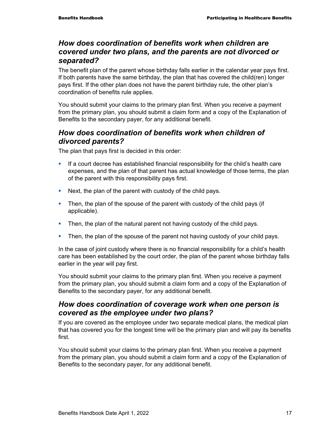### *How does coordination of benefits work when children are covered under two plans, and the parents are not divorced or separated?*

The benefit plan of the parent whose birthday falls earlier in the calendar year pays first. If both parents have the same birthday, the plan that has covered the child(ren) longer pays first. If the other plan does not have the parent birthday rule, the other plan's coordination of benefits rule applies.

You should submit your claims to the primary plan first. When you receive a payment from the primary plan, you should submit a claim form and a copy of the Explanation of Benefits to the secondary payer, for any additional benefit.

### *How does coordination of benefits work when children of divorced parents?*

The plan that pays first is decided in this order:

- **If a court decree has established financial responsibility for the child's health care** expenses, and the plan of that parent has actual knowledge of those terms, the plan of the parent with this responsibility pays first.
- Next, the plan of the parent with custody of the child pays.
- Then, the plan of the spouse of the parent with custody of the child pays (if applicable).
- Then, the plan of the natural parent not having custody of the child pays.
- Then, the plan of the spouse of the parent not having custody of your child pays.

In the case of joint custody where there is no financial responsibility for a child's health care has been established by the court order, the plan of the parent whose birthday falls earlier in the year will pay first.

You should submit your claims to the primary plan first. When you receive a payment from the primary plan, you should submit a claim form and a copy of the Explanation of Benefits to the secondary payer, for any additional benefit.

### *How does coordination of coverage work when one person is covered as the employee under two plans?*

If you are covered as the employee under two separate medical plans, the medical plan that has covered you for the longest time will be the primary plan and will pay its benefits first.

You should submit your claims to the primary plan first. When you receive a payment from the primary plan, you should submit a claim form and a copy of the Explanation of Benefits to the secondary payer, for any additional benefit.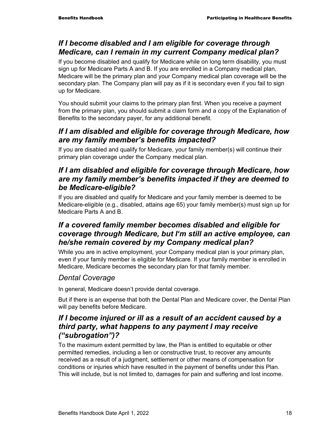# *If I become disabled and I am eligible for coverage through Medicare, can I remain in my current Company medical plan?*

If you become disabled and qualify for Medicare while on long term disability, you must sign up for Medicare Parts A and B. If you are enrolled in a Company medical plan, Medicare will be the primary plan and your Company medical plan coverage will be the secondary plan. The Company plan will pay as if it is secondary even if you fail to sign up for Medicare.

You should submit your claims to the primary plan first. When you receive a payment from the primary plan, you should submit a claim form and a copy of the Explanation of Benefits to the secondary payer, for any additional benefit.

# *If I am disabled and eligible for coverage through Medicare, how are my family member's benefits impacted?*

If you are disabled and qualify for Medicare, your family member(s) will continue their primary plan coverage under the Company medical plan.

## *If I am disabled and eligible for coverage through Medicare, how are my family member's benefits impacted if they are deemed to be Medicare-eligible?*

If you are disabled and qualify for Medicare and your family member is deemed to be Medicare-eligible (e.g., disabled, attains age 65) your family member(s) must sign up for Medicare Parts A and B.

# *If a covered family member becomes disabled and eligible for coverage through Medicare, but I'm still an active employee, can he/she remain covered by my Company medical plan?*

While you are in active employment, your Company medical plan is your primary plan, even if your family member is eligible for Medicare. If your family member is enrolled in Medicare, Medicare becomes the secondary plan for that family member.

# *Dental Coverage*

In general, Medicare doesn't provide dental coverage.

But if there is an expense that both the Dental Plan and Medicare cover, the Dental Plan will pay benefits before Medicare.

# *If I become injured or ill as a result of an accident caused by a third party, what happens to any payment I may receive ("subrogation")?*

To the maximum extent permitted by law, the Plan is entitled to equitable or other permitted remedies, including a lien or constructive trust, to recover any amounts received as a result of a judgment, settlement or other means of compensation for conditions or injuries which have resulted in the payment of benefits under this Plan. This will include, but is not limited to, damages for pain and suffering and lost income.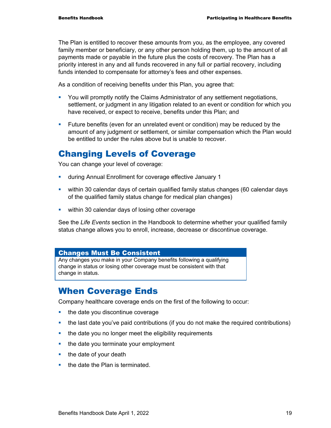The Plan is entitled to recover these amounts from you, as the employee, any covered family member or beneficiary, or any other person holding them, up to the amount of all payments made or payable in the future plus the costs of recovery. The Plan has a priority interest in any and all funds recovered in any full or partial recovery, including funds intended to compensate for attorney's fees and other expenses.

As a condition of receiving benefits under this Plan, you agree that:

- You will promptly notify the Claims Administrator of any settlement negotiations, settlement, or judgment in any litigation related to an event or condition for which you have received, or expect to receive, benefits under this Plan; and
- **Future benefits (even for an unrelated event or condition) may be reduced by the** amount of any judgment or settlement, or similar compensation which the Plan would be entitled to under the rules above but is unable to recover.

# Changing Levels of Coverage

You can change your level of coverage:

- during Annual Enrollment for coverage effective January 1
- within 30 calendar days of certain qualified family status changes (60 calendar days of the qualified family status change for medical plan changes)
- **within 30 calendar days of losing other coverage**

See the *Life Events* section in the Handbook to determine whether your qualified family status change allows you to enroll, increase, decrease or discontinue coverage.

#### Changes Must Be Consistent

Any changes you make in your Company benefits following a qualifying change in status or losing other coverage must be consistent with that change in status.

# When Coverage Ends

Company healthcare coverage ends on the first of the following to occur:

- the date you discontinue coverage
- the last date you've paid contributions (if you do not make the required contributions)
- the date you no longer meet the eligibility requirements
- $\blacksquare$  the date you terminate your employment
- $\blacksquare$  the date of your death
- $\blacksquare$  the date the Plan is terminated.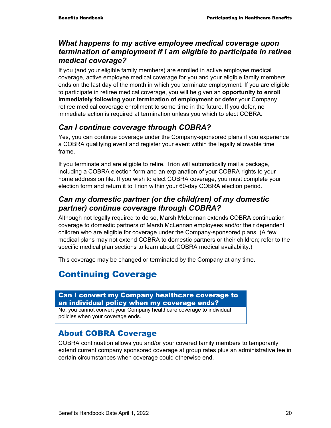### *What happens to my active employee medical coverage upon termination of employment if I am eligible to participate in retiree medical coverage?*

If you (and your eligible family members) are enrolled in active employee medical coverage, active employee medical coverage for you and your eligible family members ends on the last day of the month in which you terminate employment. If you are eligible to participate in retiree medical coverage, you will be given an **opportunity to enroll immediately following your termination of employment or defer** your Company retiree medical coverage enrollment to some time in the future. If you defer, no immediate action is required at termination unless you which to elect COBRA.

# *Can I continue coverage through COBRA?*

Yes, you can continue coverage under the Company-sponsored plans if you experience a COBRA qualifying event and register your event within the legally allowable time frame.

If you terminate and are eligible to retire, Trion will automatically mail a package, including a COBRA election form and an explanation of your COBRA rights to your home address on file. If you wish to elect COBRA coverage, you must complete your election form and return it to Trion within your 60-day COBRA election period.

## *Can my domestic partner (or the child(ren) of my domestic partner) continue coverage through COBRA?*

Although not legally required to do so, Marsh McLennan extends COBRA continuation coverage to domestic partners of Marsh McLennan employees and/or their dependent children who are eligible for coverage under the Company-sponsored plans. (A few medical plans may not extend COBRA to domestic partners or their children; refer to the specific medical plan sections to learn about COBRA medical availability.)

This coverage may be changed or terminated by the Company at any time.

# Continuing Coverage

#### Can I convert my Company healthcare coverage to an individual policy when my coverage ends?

No, you cannot convert your Company healthcare coverage to individual policies when your coverage ends.

### About COBRA Coverage

COBRA continuation allows you and/or your covered family members to temporarily extend current company sponsored coverage at group rates plus an administrative fee in certain circumstances when coverage could otherwise end.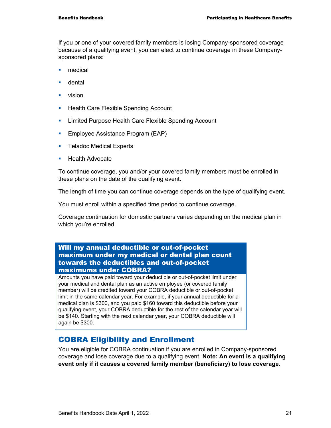If you or one of your covered family members is losing Company-sponsored coverage because of a qualifying event, you can elect to continue coverage in these Companysponsored plans:

- medical
- **u** dental
- **vision**
- **Health Care Flexible Spending Account**
- **EXECT** Limited Purpose Health Care Flexible Spending Account
- **Employee Assistance Program (EAP)**
- **Teladoc Medical Experts**
- $\blacksquare$  Health Advocate

To continue coverage, you and/or your covered family members must be enrolled in these plans on the date of the qualifying event.

The length of time you can continue coverage depends on the type of qualifying event.

You must enroll within a specified time period to continue coverage.

Coverage continuation for domestic partners varies depending on the medical plan in which you're enrolled.

#### Will my annual deductible or out-of-pocket maximum under my medical or dental plan count towards the deductibles and out-of-pocket maximums under COBRA?

Amounts you have paid toward your deductible or out-of-pocket limit under your medical and dental plan as an active employee (or covered family member) will be credited toward your COBRA deductible or out-of-pocket limit in the same calendar year. For example, if your annual deductible for a medical plan is \$300, and you paid \$160 toward this deductible before your qualifying event, your COBRA deductible for the rest of the calendar year will be \$140. Starting with the next calendar year, your COBRA deductible will again be \$300.

### COBRA Eligibility and Enrollment

You are eligible for COBRA continuation if you are enrolled in Company-sponsored coverage and lose coverage due to a qualifying event. **Note: An event is a qualifying event only if it causes a covered family member (beneficiary) to lose coverage.**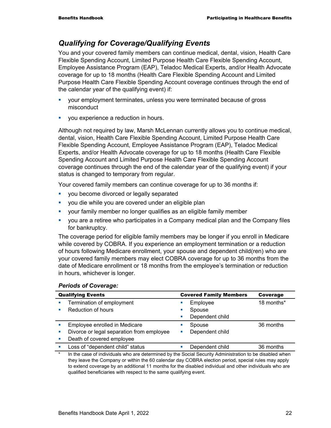## *Qualifying for Coverage/Qualifying Events*

You and your covered family members can continue medical, dental, vision, Health Care Flexible Spending Account, Limited Purpose Health Care Flexible Spending Account, Employee Assistance Program (EAP), Teladoc Medical Experts, and/or Health Advocate coverage for up to 18 months (Health Care Flexible Spending Account and Limited Purpose Health Care Flexible Spending Account coverage continues through the end of the calendar year of the qualifying event) if:

- your employment terminates, unless you were terminated because of gross misconduct
- **vou experience a reduction in hours.**

Although not required by law, Marsh McLennan currently allows you to continue medical, dental, vision, Health Care Flexible Spending Account, Limited Purpose Health Care Flexible Spending Account, Employee Assistance Program (EAP), Teladoc Medical Experts, and/or Health Advocate coverage for up to 18 months (Health Care Flexible Spending Account and Limited Purpose Health Care Flexible Spending Account coverage continues through the end of the calendar year of the qualifying event) if your status is changed to temporary from regular.

Your covered family members can continue coverage for up to 36 months if:

- **v** you become divorced or legally separated
- you die while you are covered under an eligible plan
- your family member no longer qualifies as an eligible family member
- you are a retiree who participates in a Company medical plan and the Company files for bankruptcy.

The coverage period for eligible family members may be longer if you enroll in Medicare while covered by COBRA. If you experience an employment termination or a reduction of hours following Medicare enrollment, your spouse and dependent child(ren) who are your covered family members may elect COBRA coverage for up to 36 months from the date of Medicare enrollment or 18 months from the employee's termination or reduction in hours, whichever is longer.

| <b>Qualifying Events</b>                                                                                           | <b>Covered Family Members</b> | Coverage   |
|--------------------------------------------------------------------------------------------------------------------|-------------------------------|------------|
| Termination of employment<br>×                                                                                     | Employee                      | 18 months* |
| Reduction of hours<br>п                                                                                            | Spouse                        |            |
|                                                                                                                    | Dependent child               |            |
| Employee enrolled in Medicare                                                                                      | Spouse                        | 36 months  |
| Divorce or legal separation from employee<br>$\mathcal{L}_{\mathcal{A}}$                                           | Dependent child<br>ш          |            |
| Death of covered employee<br>×                                                                                     |                               |            |
| Loss of "dependent child" status<br><b>COL</b>                                                                     | Dependent child<br>×          | 36 months  |
| $\star$<br>In the case of individuals who are determined by the Social Security Administration to be disabled when |                               |            |

#### *Periods of Coverage:*

they leave the Company or within the 60 calendar day COBRA election period, special rules may apply to extend coverage by an additional 11 months for the disabled individual and other individuals who are qualified beneficiaries with respect to the same qualifying event.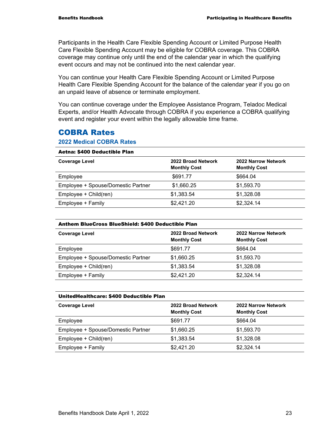Participants in the Health Care Flexible Spending Account or Limited Purpose Health Care Flexible Spending Account may be eligible for COBRA coverage. This COBRA coverage may continue only until the end of the calendar year in which the qualifying event occurs and may not be continued into the next calendar year.

You can continue your Health Care Flexible Spending Account or Limited Purpose Health Care Flexible Spending Account for the balance of the calendar year if you go on an unpaid leave of absence or terminate employment.

You can continue coverage under the Employee Assistance Program, Teladoc Medical Experts, and/or Health Advocate through COBRA if you experience a COBRA qualifying event and register your event within the legally allowable time frame.

### COBRA Rates

#### **2022 Medical COBRA Rates**

#### Aetna: \$400 Deductible Plan

| <b>Coverage Level</b>              | 2022 Broad Network<br><b>Monthly Cost</b> | 2022 Narrow Network<br><b>Monthly Cost</b> |
|------------------------------------|-------------------------------------------|--------------------------------------------|
| Employee                           | \$691.77                                  | \$664.04                                   |
| Employee + Spouse/Domestic Partner | \$1,660.25                                | \$1,593.70                                 |
| Employee + Child(ren)              | \$1,383.54                                | \$1,328.08                                 |
| Employee + Family                  | \$2,421.20                                | \$2,324.14                                 |
|                                    |                                           |                                            |

#### Anthem BlueCross BlueShield: \$400 Deductible Plan

| <b>Coverage Level</b>              | 2022 Broad Network<br><b>Monthly Cost</b> | 2022 Narrow Network<br><b>Monthly Cost</b> |
|------------------------------------|-------------------------------------------|--------------------------------------------|
| Employee                           | \$691.77                                  | \$664.04                                   |
| Employee + Spouse/Domestic Partner | \$1,660.25                                | \$1,593.70                                 |
| Employee + Child(ren)              | \$1,383.54                                | \$1,328.08                                 |
| Employee + Family                  | \$2,421.20                                | \$2,324.14                                 |

#### UnitedHealthcare: \$400 Deductible Plan

| <b>Coverage Level</b>              | 2022 Broad Network<br><b>Monthly Cost</b> | 2022 Narrow Network<br><b>Monthly Cost</b> |
|------------------------------------|-------------------------------------------|--------------------------------------------|
| Employee                           | \$691.77                                  | \$664.04                                   |
| Employee + Spouse/Domestic Partner | \$1,660.25                                | \$1,593.70                                 |
| Employee + Child(ren)              | \$1,383.54                                | \$1,328.08                                 |
| Employee + Family                  | \$2,421.20                                | \$2,324.14                                 |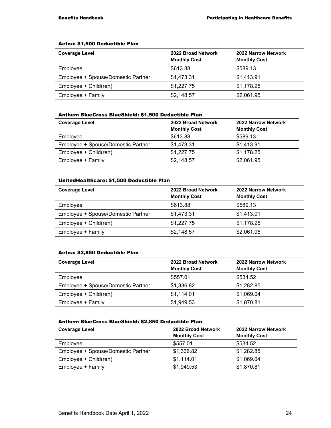#### Aetna: \$1,500 Deductible Plan

| <b>Coverage Level</b>              | 2022 Broad Network<br><b>Monthly Cost</b> | 2022 Narrow Network<br><b>Monthly Cost</b> |
|------------------------------------|-------------------------------------------|--------------------------------------------|
| Employee                           | \$613.88                                  | \$589.13                                   |
| Employee + Spouse/Domestic Partner | \$1,473.31                                | \$1,413.91                                 |
| Employee + Child(ren)              | \$1,227.75                                | \$1,178.25                                 |
| Employee + Family                  | \$2,148.57                                | \$2,061.95                                 |

| Anthem BlueCross BlueShield: \$1,500 Deductible Plan |                     |                     |
|------------------------------------------------------|---------------------|---------------------|
| <b>Coverage Level</b>                                | 2022 Broad Network  | 2022 Narrow Network |
|                                                      | <b>Monthly Cost</b> | <b>Monthly Cost</b> |
| Employee                                             | \$613.88            | \$589.13            |
| Employee + Spouse/Domestic Partner                   | \$1,473.31          | \$1,413.91          |
| Employee + Child(ren)                                | \$1,227.75          | \$1,178.25          |
| Employee + Family                                    | \$2,148.57          | \$2,061.95          |

#### UnitedHealthcare: \$1,500 Deductible Plan

| <b>Coverage Level</b>              | 2022 Broad Network<br><b>Monthly Cost</b> | 2022 Narrow Network<br><b>Monthly Cost</b> |
|------------------------------------|-------------------------------------------|--------------------------------------------|
| Employee                           | \$613.88                                  | \$589.13                                   |
| Employee + Spouse/Domestic Partner | \$1,473.31                                | \$1,413.91                                 |
| Employee + Child(ren)              | \$1,227.75                                | \$1,178.25                                 |
| Employee + Family                  | \$2,148.57                                | \$2,061.95                                 |

| Aetna: \$2,850 Deductible Plan     |                                           |                                            |
|------------------------------------|-------------------------------------------|--------------------------------------------|
| <b>Coverage Level</b>              | 2022 Broad Network<br><b>Monthly Cost</b> | 2022 Narrow Network<br><b>Monthly Cost</b> |
| Employee                           | \$557.01                                  | \$534.52                                   |
| Employee + Spouse/Domestic Partner | \$1,336.82                                | \$1,282.85                                 |
| Employee + Child(ren)              | \$1,114.01                                | \$1,069.04                                 |
| Employee + Family                  | \$1,949.53                                | \$1,870.81                                 |

| Anthem BlueCross BlueShield: \$2,850 Deductible Plan |                                           |                                            |
|------------------------------------------------------|-------------------------------------------|--------------------------------------------|
| <b>Coverage Level</b>                                | 2022 Broad Network<br><b>Monthly Cost</b> | 2022 Narrow Network<br><b>Monthly Cost</b> |
| Employee                                             | \$557.01                                  | \$534.52                                   |
| Employee + Spouse/Domestic Partner                   | \$1,336.82                                | \$1,282.85                                 |
| Employee + Child(ren)                                | \$1,114.01                                | \$1,069.04                                 |
| Employee + Family                                    | \$1,949.53                                | \$1,870.81                                 |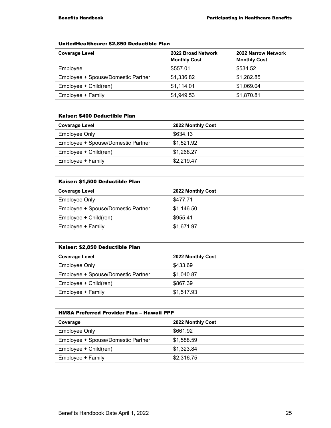#### UnitedHealthcare: \$2,850 Deductible Plan

| <b>Coverage Level</b>              | 2022 Broad Network<br><b>Monthly Cost</b> | 2022 Narrow Network<br><b>Monthly Cost</b> |
|------------------------------------|-------------------------------------------|--------------------------------------------|
| Employee                           | \$557.01                                  | \$534.52                                   |
| Employee + Spouse/Domestic Partner | \$1,336.82                                | \$1,282.85                                 |
| Employee + Child(ren)              | \$1,114.01                                | \$1,069.04                                 |
| Employee + Family                  | \$1,949.53                                | \$1,870.81                                 |

#### Kaiser: \$400 Deductible Plan

| <b>Coverage Level</b>              | 2022 Monthly Cost |
|------------------------------------|-------------------|
| <b>Employee Only</b>               | \$634.13          |
| Employee + Spouse/Domestic Partner | \$1.521.92        |
| Employee + Child(ren)              | \$1,268.27        |
| Employee + Family                  | \$2,219.47        |

#### Kaiser: \$1,500 Deductible Plan

| <b>Coverage Level</b>              | 2022 Monthly Cost |
|------------------------------------|-------------------|
| <b>Employee Only</b>               | \$477.71          |
| Employee + Spouse/Domestic Partner | \$1,146.50        |
| Employee + Child(ren)              | \$955.41          |
| Employee + Family                  | \$1,671.97        |

#### Kaiser: \$2,850 Deductible Plan

| <b>Coverage Level</b>              | 2022 Monthly Cost |
|------------------------------------|-------------------|
| Employee Only                      | \$433.69          |
| Employee + Spouse/Domestic Partner | \$1,040.87        |
| Employee + Child(ren)              | \$867.39          |
| Employee + Family                  | \$1,517.93        |

### HMSA Preferred Provider Plan – Hawaii PPP **Coverage 2022 Monthly Cost**  Employee Only **Employee** Only Employee + Spouse/Domestic Partner \$1,588.59 Employee + Child(ren) \$1,323.84 Employee + Family \$2,316.75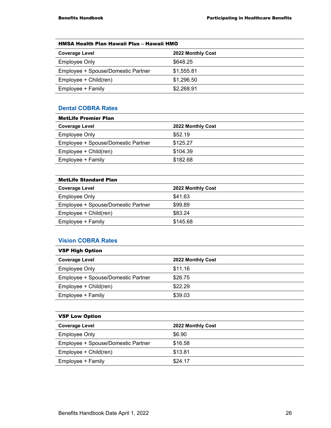| HMSA Health Plan Hawaii Plus - Hawaii HMO |                   |
|-------------------------------------------|-------------------|
| <b>Coverage Level</b>                     | 2022 Monthly Cost |
| Employee Only                             | \$648.25          |
| Employee + Spouse/Domestic Partner        | \$1,555.81        |
| Employee + Child(ren)                     | \$1,296.50        |
| Employee + Family                         | \$2,268.91        |

#### **Dental COBRA Rates**

| <b>MetLife Premier Plan</b>        |                   |  |
|------------------------------------|-------------------|--|
| <b>Coverage Level</b>              | 2022 Monthly Cost |  |
| Employee Only                      | \$52.19           |  |
| Employee + Spouse/Domestic Partner | \$125.27          |  |
| Employee + Child(ren)              | \$104.39          |  |
| Employee + Family                  | \$182.68          |  |
|                                    |                   |  |

#### MetLife Standard Plan

| <b>Coverage Level</b>              | 2022 Monthly Cost |  |
|------------------------------------|-------------------|--|
| <b>Employee Only</b>               | \$41.63           |  |
| Employee + Spouse/Domestic Partner | \$99.89           |  |
| Employee + Child(ren)              | \$83.24           |  |
| Employee + Family                  | \$145.68          |  |
|                                    |                   |  |

#### **Vision COBRA Rates**

| <b>VSP High Option</b>             |                   |
|------------------------------------|-------------------|
| <b>Coverage Level</b>              | 2022 Monthly Cost |
| Employee Only                      | \$11.16           |
| Employee + Spouse/Domestic Partner | \$26.75           |
| Employee + Child(ren)              | \$22.29           |
| Employee + Family                  | \$39.03           |

| <b>VSP Low Option</b>              |                   |
|------------------------------------|-------------------|
| <b>Coverage Level</b>              | 2022 Monthly Cost |
| <b>Employee Only</b>               | \$6.90            |
| Employee + Spouse/Domestic Partner | \$16.58           |
| Employee + Child(ren)              | \$13.81           |
| Employee + Family                  | \$24.17           |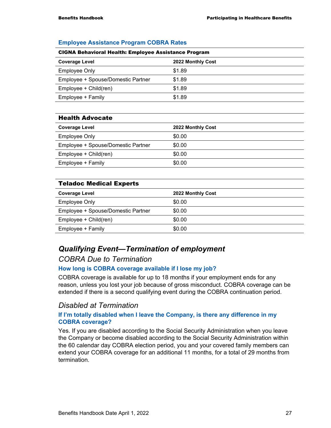| <b>CIGNA Behavioral Health: Employee Assistance Program</b> |                   |  |
|-------------------------------------------------------------|-------------------|--|
| <b>Coverage Level</b>                                       | 2022 Monthly Cost |  |
| Employee Only                                               | \$1.89            |  |
| Employee + Spouse/Domestic Partner                          | \$1.89            |  |
| Employee + Child(ren)                                       | \$1.89            |  |
| Employee + Family                                           | \$1.89            |  |

#### **Employee Assistance Program COBRA Rates**

#### Health Advocate

| <b>Coverage Level</b>              | 2022 Monthly Cost |
|------------------------------------|-------------------|
| Employee Only                      | \$0.00            |
| Employee + Spouse/Domestic Partner | \$0.00            |
| Employee + Child(ren)              | \$0.00            |
| Employee + Family                  | \$0.00            |

#### Teladoc Medical Experts

| <b>Coverage Level</b>              | 2022 Monthly Cost |
|------------------------------------|-------------------|
| <b>Employee Only</b>               | \$0.00            |
| Employee + Spouse/Domestic Partner | \$0.00            |
| Employee + Child(ren)              | \$0.00            |
| Employee + Family                  | \$0.00            |

#### *Qualifying Event—Termination of employment*

#### *COBRA Due to Termination*

#### **How long is COBRA coverage available if I lose my job?**

COBRA coverage is available for up to 18 months if your employment ends for any reason, unless you lost your job because of gross misconduct. COBRA coverage can be extended if there is a second qualifying event during the COBRA continuation period.

#### *Disabled at Termination*

#### **If I'm totally disabled when I leave the Company, is there any difference in my COBRA coverage?**

Yes. If you are disabled according to the Social Security Administration when you leave the Company or become disabled according to the Social Security Administration within the 60 calendar day COBRA election period, you and your covered family members can extend your COBRA coverage for an additional 11 months, for a total of 29 months from termination.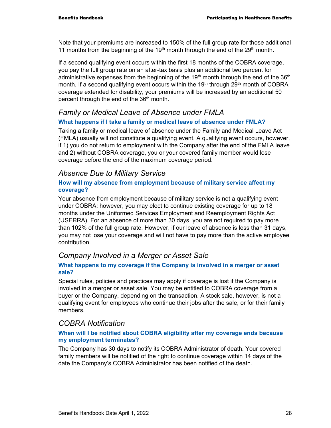Note that your premiums are increased to 150% of the full group rate for those additional 11 months from the beginning of the 19<sup>th</sup> month through the end of the 29<sup>th</sup> month.

If a second qualifying event occurs within the first 18 months of the COBRA coverage, you pay the full group rate on an after-tax basis plus an additional two percent for administrative expenses from the beginning of the 19<sup>th</sup> month through the end of the 36<sup>th</sup> month. If a second qualifying event occurs within the 19<sup>th</sup> through 29<sup>th</sup> month of COBRA coverage extended for disability, your premiums will be increased by an additional 50 percent through the end of the 36<sup>th</sup> month.

### *Family or Medical Leave of Absence under FMLA*

#### **What happens if I take a family or medical leave of absence under FMLA?**

Taking a family or medical leave of absence under the Family and Medical Leave Act (FMLA) usually will not constitute a qualifying event. A qualifying event occurs, however, if 1) you do not return to employment with the Company after the end of the FMLA leave and 2) without COBRA coverage, you or your covered family member would lose coverage before the end of the maximum coverage period.

#### *Absence Due to Military Service*

#### **How will my absence from employment because of military service affect my coverage?**

Your absence from employment because of military service is not a qualifying event under COBRA; however, you may elect to continue existing coverage for up to 18 months under the Uniformed Services Employment and Reemployment Rights Act (USERRA). For an absence of more than 30 days, you are not required to pay more than 102% of the full group rate. However, if our leave of absence is less than 31 days, you may not lose your coverage and will not have to pay more than the active employee contribution.

### *Company Involved in a Merger or Asset Sale*

#### **What happens to my coverage if the Company is involved in a merger or asset sale?**

Special rules, policies and practices may apply if coverage is lost if the Company is involved in a merger or asset sale. You may be entitled to COBRA coverage from a buyer or the Company, depending on the transaction. A stock sale, however, is not a qualifying event for employees who continue their jobs after the sale, or for their family members.

### *COBRA Notification*

#### **When will I be notified about COBRA eligibility after my coverage ends because my employment terminates?**

The Company has 30 days to notify its COBRA Administrator of death. Your covered family members will be notified of the right to continue coverage within 14 days of the date the Company's COBRA Administrator has been notified of the death.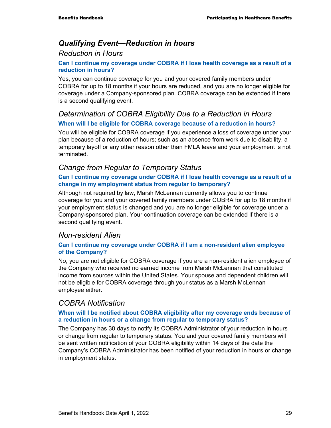# *Qualifying Event—Reduction in hours*

#### *Reduction in Hours*

#### **Can I continue my coverage under COBRA if I lose health coverage as a result of a reduction in hours?**

Yes, you can continue coverage for you and your covered family members under COBRA for up to 18 months if your hours are reduced, and you are no longer eligible for coverage under a Company-sponsored plan. COBRA coverage can be extended if there is a second qualifying event.

### *Determination of COBRA Eligibility Due to a Reduction in Hours*  **When will I be eligible for COBRA coverage because of a reduction in hours?**

You will be eligible for COBRA coverage if you experience a loss of coverage under your plan because of a reduction of hours; such as an absence from work due to disability, a temporary layoff or any other reason other than FMLA leave and your employment is not terminated.

### *Change from Regular to Temporary Status*

#### **Can I continue my coverage under COBRA if I lose health coverage as a result of a change in my employment status from regular to temporary?**

Although not required by law, Marsh McLennan currently allows you to continue coverage for you and your covered family members under COBRA for up to 18 months if your employment status is changed and you are no longer eligible for coverage under a Company-sponsored plan. Your continuation coverage can be extended if there is a second qualifying event.

#### *Non-resident Alien*

#### **Can I continue my coverage under COBRA if I am a non-resident alien employee of the Company?**

No, you are not eligible for COBRA coverage if you are a non-resident alien employee of the Company who received no earned income from Marsh McLennan that constituted income from sources within the United States. Your spouse and dependent children will not be eligible for COBRA coverage through your status as a Marsh McLennan employee either.

#### *COBRA Notification*

#### **When will I be notified about COBRA eligibility after my coverage ends because of a reduction in hours or a change from regular to temporary status?**

The Company has 30 days to notify its COBRA Administrator of your reduction in hours or change from regular to temporary status. You and your covered family members will be sent written notification of your COBRA eligibility within 14 days of the date the Company's COBRA Administrator has been notified of your reduction in hours or change in employment status.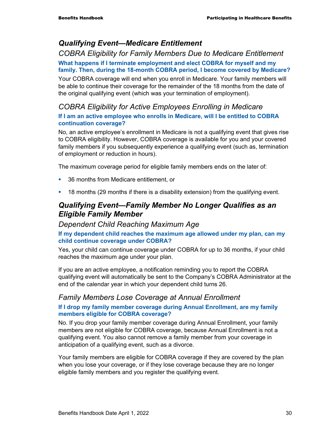### *Qualifying Event—Medicare Entitlement*

### *COBRA Eligibility for Family Members Due to Medicare Entitlement*

#### **What happens if I terminate employment and elect COBRA for myself and my family. Then, during the 18-month COBRA period, I become covered by Medicare?**

Your COBRA coverage will end when you enroll in Medicare. Your family members will be able to continue their coverage for the remainder of the 18 months from the date of the original qualifying event (which was your termination of employment).

#### *COBRA Eligibility for Active Employees Enrolling in Medicare*

#### **If I am an active employee who enrolls in Medicare, will I be entitled to COBRA continuation coverage?**

No, an active employee's enrollment in Medicare is not a qualifying event that gives rise to COBRA eligibility. However, COBRA coverage is available for you and your covered family members if you subsequently experience a qualifying event (such as, termination of employment or reduction in hours).

The maximum coverage period for eligible family members ends on the later of:

- 36 months from Medicare entitlement, or
- 18 months (29 months if there is a disability extension) from the qualifying event.

### *Qualifying Event—Family Member No Longer Qualifies as an Eligible Family Member*

#### *Dependent Child Reaching Maximum Age*

#### **If my dependent child reaches the maximum age allowed under my plan, can my child continue coverage under COBRA?**

Yes, your child can continue coverage under COBRA for up to 36 months, if your child reaches the maximum age under your plan.

If you are an active employee, a notification reminding you to report the COBRA qualifying event will automatically be sent to the Company's COBRA Administrator at the end of the calendar year in which your dependent child turns 26.

### *Family Members Lose Coverage at Annual Enrollment*

#### **If I drop my family member coverage during Annual Enrollment, are my family members eligible for COBRA coverage?**

No. If you drop your family member coverage during Annual Enrollment, your family members are not eligible for COBRA coverage, because Annual Enrollment is not a qualifying event. You also cannot remove a family member from your coverage in anticipation of a qualifying event, such as a divorce.

Your family members are eligible for COBRA coverage if they are covered by the plan when you lose your coverage, or if they lose coverage because they are no longer eligible family members and you register the qualifying event.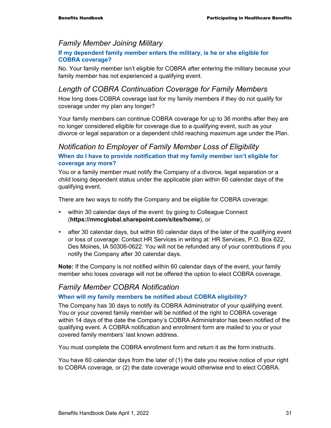#### *Family Member Joining Military*

#### **If my dependent family member enters the military, is he or she eligible for COBRA coverage?**

No. Your family member isn't eligible for COBRA after entering the military because your family member has not experienced a qualifying event.

#### *Length of COBRA Continuation Coverage for Family Members*

How long does COBRA coverage last for my family members if they do not qualify for coverage under my plan any longer?

Your family members can continue COBRA coverage for up to 36 months after they are no longer considered eligible for coverage due to a qualifying event, such as your divorce or legal separation or a dependent child reaching maximum age under the Plan.

### *Notification to Employer of Family Member Loss of Eligibility*

#### **When do I have to provide notification that my family member isn't eligible for coverage any more?**

You or a family member must notify the Company of a divorce, legal separation or a child losing dependent status under the applicable plan within 60 calendar days of the qualifying event.

There are two ways to notify the Company and be eligible for COBRA coverage:

- within 30 calendar days of the event: by going to Colleague Connect (**https://mmcglobal.sharepoint.com/sites/home**), or
- after 30 calendar days, but within 60 calendar days of the later of the qualifying event or loss of coverage: Contact HR Services in writing at: HR Services, P.O. Box 622, Des Moines, IA 50306-0622. You will not be refunded any of your contributions if you notify the Company after 30 calendar days.

**Note:** If the Company is not notified within 60 calendar days of the event, your family member who loses coverage will not be offered the option to elect COBRA coverage.

#### *Family Member COBRA Notification*

#### **When will my family members be notified about COBRA eligibility?**

The Company has 30 days to notify its COBRA Administrator of your qualifying event. You or your covered family member will be notified of the right to COBRA coverage within 14 days of the date the Company's COBRA Administrator has been notified of the qualifying event. A COBRA notification and enrollment form are mailed to you or your covered family members' last known address.

You must complete the COBRA enrollment form and return it as the form instructs.

You have 60 calendar days from the later of (1) the date you receive notice of your right to COBRA coverage, or (2) the date coverage would otherwise end to elect COBRA.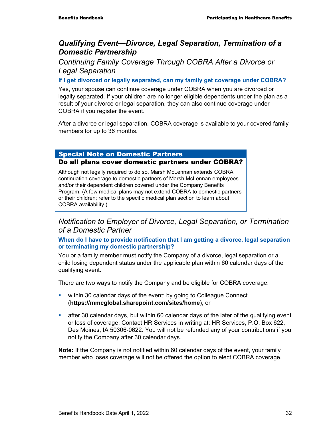### *Qualifying Event—Divorce, Legal Separation, Termination of a Domestic Partnership*

*Continuing Family Coverage Through COBRA After a Divorce or Legal Separation* 

**If I get divorced or legally separated, can my family get coverage under COBRA?** 

Yes, your spouse can continue coverage under COBRA when you are divorced or legally separated. If your children are no longer eligible dependents under the plan as a result of your divorce or legal separation, they can also continue coverage under COBRA if you register the event.

After a divorce or legal separation, COBRA coverage is available to your covered family members for up to 36 months.

#### Special Note on Domestic Partners Do all plans cover domestic partners under COBRA?

Although not legally required to do so, Marsh McLennan extends COBRA continuation coverage to domestic partners of Marsh McLennan employees and/or their dependent children covered under the Company Benefits Program. (A few medical plans may not extend COBRA to domestic partners or their children; refer to the specific medical plan section to learn about COBRA availability.)

#### *Notification to Employer of Divorce, Legal Separation, or Termination of a Domestic Partner*

#### **When do I have to provide notification that I am getting a divorce, legal separation or terminating my domestic partnership?**

You or a family member must notify the Company of a divorce, legal separation or a child losing dependent status under the applicable plan within 60 calendar days of the qualifying event.

There are two ways to notify the Company and be eligible for COBRA coverage:

- **within 30 calendar days of the event: by going to Colleague Connect** (**https://mmcglobal.sharepoint.com/sites/home**), or
- after 30 calendar days, but within 60 calendar days of the later of the qualifying event or loss of coverage: Contact HR Services in writing at: HR Services, P.O. Box 622, Des Moines, IA 50306-0622. You will not be refunded any of your contributions if you notify the Company after 30 calendar days.

**Note:** If the Company is not notified within 60 calendar days of the event, your family member who loses coverage will not be offered the option to elect COBRA coverage.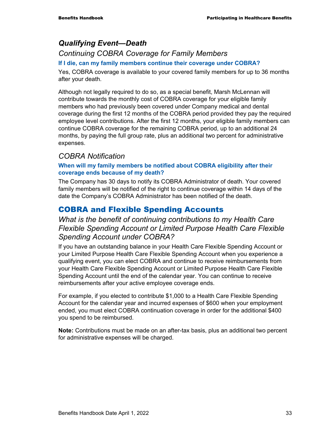# *Qualifying Event—Death*

*Continuing COBRA Coverage for Family Members* 

#### **If I die, can my family members continue their coverage under COBRA?**

Yes, COBRA coverage is available to your covered family members for up to 36 months after your death.

Although not legally required to do so, as a special benefit, Marsh McLennan will contribute towards the monthly cost of COBRA coverage for your eligible family members who had previously been covered under Company medical and dental coverage during the first 12 months of the COBRA period provided they pay the required employee level contributions. After the first 12 months, your eligible family members can continue COBRA coverage for the remaining COBRA period, up to an additional 24 months, by paying the full group rate, plus an additional two percent for administrative expenses.

### *COBRA Notification*

#### **When will my family members be notified about COBRA eligibility after their coverage ends because of my death?**

The Company has 30 days to notify its COBRA Administrator of death. Your covered family members will be notified of the right to continue coverage within 14 days of the date the Company's COBRA Administrator has been notified of the death.

# COBRA and Flexible Spending Accounts

### *What is the benefit of continuing contributions to my Health Care Flexible Spending Account or Limited Purpose Health Care Flexible Spending Account under COBRA?*

If you have an outstanding balance in your Health Care Flexible Spending Account or your Limited Purpose Health Care Flexible Spending Account when you experience a qualifying event, you can elect COBRA and continue to receive reimbursements from your Health Care Flexible Spending Account or Limited Purpose Health Care Flexible Spending Account until the end of the calendar year. You can continue to receive reimbursements after your active employee coverage ends.

For example, if you elected to contribute \$1,000 to a Health Care Flexible Spending Account for the calendar year and incurred expenses of \$600 when your employment ended, you must elect COBRA continuation coverage in order for the additional \$400 you spend to be reimbursed.

**Note:** Contributions must be made on an after-tax basis, plus an additional two percent for administrative expenses will be charged.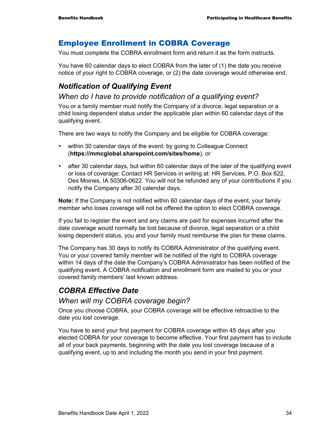### Employee Enrollment in COBRA Coverage

You must complete the COBRA enrollment form and return it as the form instructs.

You have 60 calendar days to elect COBRA from the later of (1) the date you receive notice of your right to COBRA coverage, or (2) the date coverage would otherwise end.

# *Notification of Qualifying Event*

#### *When do I have to provide notification of a qualifying event?*

You or a family member must notify the Company of a divorce, legal separation or a child losing dependent status under the applicable plan within 60 calendar days of the qualifying event.

There are two ways to notify the Company and be eligible for COBRA coverage:

- **within 30 calendar days of the event: by going to Colleague Connect** (**https://mmcglobal.sharepoint.com/sites/home**), or
- after 30 calendar days, but within 60 calendar days of the later of the qualifying event or loss of coverage: Contact HR Services in writing at: HR Services, P.O. Box 622, Des Moines, IA 50306-0622. You will not be refunded any of your contributions if you notify the Company after 30 calendar days.

**Note:** If the Company is not notified within 60 calendar days of the event, your family member who loses coverage will not be offered the option to elect COBRA coverage.

If you fail to register the event and any claims are paid for expenses incurred after the date coverage would normally be lost because of divorce, legal separation or a child losing dependent status, you and your family must reimburse the plan for these claims.

The Company has 30 days to notify its COBRA Administrator of the qualifying event. You or your covered family member will be notified of the right to COBRA coverage within 14 days of the date the Company's COBRA Administrator has been notified of the qualifying event. A COBRA notification and enrollment form are mailed to you or your covered family members' last known address.

# *COBRA Effective Date*

#### *When will my COBRA coverage begin?*

Once you choose COBRA, your COBRA coverage will be effective retroactive to the date you lost coverage.

You have to send your first payment for COBRA coverage within 45 days after you elected COBRA for your coverage to become effective. Your first payment has to include all of your back payments, beginning with the date you lost coverage because of a qualifying event, up to and including the month you send in your first payment.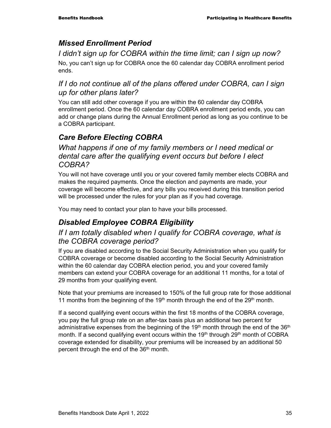# *Missed Enrollment Period*

### *I didn't sign up for COBRA within the time limit; can I sign up now?*

No, you can't sign up for COBRA once the 60 calendar day COBRA enrollment period ends.

### *If I do not continue all of the plans offered under COBRA, can I sign up for other plans later?*

You can still add other coverage if you are within the 60 calendar day COBRA enrollment period. Once the 60 calendar day COBRA enrollment period ends, you can add or change plans during the Annual Enrollment period as long as you continue to be a COBRA participant.

# *Care Before Electing COBRA*

*What happens if one of my family members or I need medical or dental care after the qualifying event occurs but before I elect COBRA?* 

You will not have coverage until you or your covered family member elects COBRA and makes the required payments. Once the election and payments are made, your coverage will become effective, and any bills you received during this transition period will be processed under the rules for your plan as if you had coverage.

You may need to contact your plan to have your bills processed.

# *Disabled Employee COBRA Eligibility*

### *If I am totally disabled when I qualify for COBRA coverage, what is the COBRA coverage period?*

If you are disabled according to the Social Security Administration when you qualify for COBRA coverage or become disabled according to the Social Security Administration within the 60 calendar day COBRA election period, you and your covered family members can extend your COBRA coverage for an additional 11 months, for a total of 29 months from your qualifying event.

Note that your premiums are increased to 150% of the full group rate for those additional 11 months from the beginning of the 19<sup>th</sup> month through the end of the  $29<sup>th</sup>$  month.

If a second qualifying event occurs within the first 18 months of the COBRA coverage, you pay the full group rate on an after-tax basis plus an additional two percent for administrative expenses from the beginning of the  $19<sup>th</sup>$  month through the end of the  $36<sup>th</sup>$ month. If a second qualifying event occurs within the  $19<sup>th</sup>$  through  $29<sup>th</sup>$  month of COBRA coverage extended for disability, your premiums will be increased by an additional 50 percent through the end of the 36<sup>th</sup> month.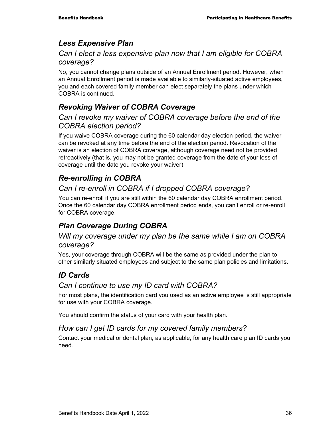# *Less Expensive Plan*

### *Can I elect a less expensive plan now that I am eligible for COBRA coverage?*

No, you cannot change plans outside of an Annual Enrollment period. However, when an Annual Enrollment period is made available to similarly-situated active employees, you and each covered family member can elect separately the plans under which COBRA is continued.

# *Revoking Waiver of COBRA Coverage*

### *Can I revoke my waiver of COBRA coverage before the end of the COBRA election period?*

If you waive COBRA coverage during the 60 calendar day election period, the waiver can be revoked at any time before the end of the election period. Revocation of the waiver is an election of COBRA coverage, although coverage need not be provided retroactively (that is, you may not be granted coverage from the date of your loss of coverage until the date you revoke your waiver).

# *Re-enrolling in COBRA*

# *Can I re-enroll in COBRA if I dropped COBRA coverage?*

You can re-enroll if you are still within the 60 calendar day COBRA enrollment period. Once the 60 calendar day COBRA enrollment period ends, you can't enroll or re-enroll for COBRA coverage.

# *Plan Coverage During COBRA*

### *Will my coverage under my plan be the same while I am on COBRA coverage?*

Yes, your coverage through COBRA will be the same as provided under the plan to other similarly situated employees and subject to the same plan policies and limitations.

# *ID Cards*

### *Can I continue to use my ID card with COBRA?*

For most plans, the identification card you used as an active employee is still appropriate for use with your COBRA coverage.

You should confirm the status of your card with your health plan.

### *How can I get ID cards for my covered family members?*

Contact your medical or dental plan, as applicable, for any health care plan ID cards you need.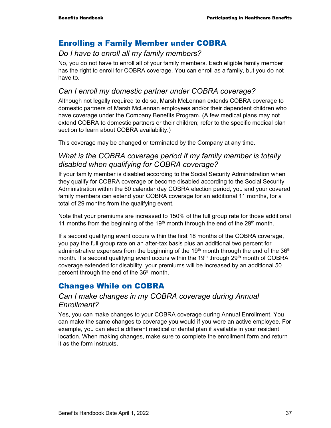### Enrolling a Family Member under COBRA

### *Do I have to enroll all my family members?*

No, you do not have to enroll all of your family members. Each eligible family member has the right to enroll for COBRA coverage. You can enroll as a family, but you do not have to.

### *Can I enroll my domestic partner under COBRA coverage?*

Although not legally required to do so, Marsh McLennan extends COBRA coverage to domestic partners of Marsh McLennan employees and/or their dependent children who have coverage under the Company Benefits Program. (A few medical plans may not extend COBRA to domestic partners or their children; refer to the specific medical plan section to learn about COBRA availability.)

This coverage may be changed or terminated by the Company at any time.

### *What is the COBRA coverage period if my family member is totally disabled when qualifying for COBRA coverage?*

If your family member is disabled according to the Social Security Administration when they qualify for COBRA coverage or become disabled according to the Social Security Administration within the 60 calendar day COBRA election period, you and your covered family members can extend your COBRA coverage for an additional 11 months, for a total of 29 months from the qualifying event.

Note that your premiums are increased to 150% of the full group rate for those additional 11 months from the beginning of the 19<sup>th</sup> month through the end of the 29<sup>th</sup> month.

If a second qualifying event occurs within the first 18 months of the COBRA coverage, you pay the full group rate on an after-tax basis plus an additional two percent for administrative expenses from the beginning of the  $19<sup>th</sup>$  month through the end of the  $36<sup>th</sup>$ month. If a second qualifying event occurs within the  $19<sup>th</sup>$  through  $29<sup>th</sup>$  month of COBRA coverage extended for disability, your premiums will be increased by an additional 50 percent through the end of the 36<sup>th</sup> month.

# Changes While on COBRA

### *Can I make changes in my COBRA coverage during Annual Enrollment?*

Yes, you can make changes to your COBRA coverage during Annual Enrollment. You can make the same changes to coverage you would if you were an active employee. For example, you can elect a different medical or dental plan if available in your resident location. When making changes, make sure to complete the enrollment form and return it as the form instructs.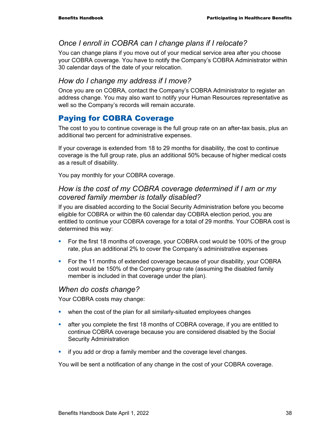### *Once I enroll in COBRA can I change plans if I relocate?*

You can change plans if you move out of your medical service area after you choose your COBRA coverage. You have to notify the Company's COBRA Administrator within 30 calendar days of the date of your relocation.

### *How do I change my address if I move?*

Once you are on COBRA, contact the Company's COBRA Administrator to register an address change. You may also want to notify your Human Resources representative as well so the Company's records will remain accurate.

# Paying for COBRA Coverage

The cost to you to continue coverage is the full group rate on an after-tax basis, plus an additional two percent for administrative expenses.

If your coverage is extended from 18 to 29 months for disability, the cost to continue coverage is the full group rate, plus an additional 50% because of higher medical costs as a result of disability.

You pay monthly for your COBRA coverage.

#### *How is the cost of my COBRA coverage determined if I am or my covered family member is totally disabled?*

If you are disabled according to the Social Security Administration before you become eligible for COBRA or within the 60 calendar day COBRA election period, you are entitled to continue your COBRA coverage for a total of 29 months. Your COBRA cost is determined this way:

- For the first 18 months of coverage, your COBRA cost would be 100% of the group rate, plus an additional 2% to cover the Company's administrative expenses
- For the 11 months of extended coverage because of your disability, your COBRA cost would be 150% of the Company group rate (assuming the disabled family member is included in that coverage under the plan).

#### *When do costs change?*

Your COBRA costs may change:

- when the cost of the plan for all similarly-situated employees changes
- after you complete the first 18 months of COBRA coverage, if you are entitled to continue COBRA coverage because you are considered disabled by the Social Security Administration
- **if you add or drop a family member and the coverage level changes.**

You will be sent a notification of any change in the cost of your COBRA coverage.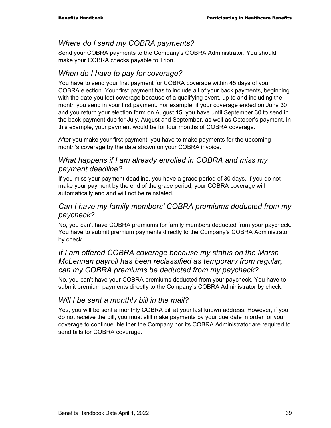#### *Where do I send my COBRA payments?*

Send your COBRA payments to the Company's COBRA Administrator. You should make your COBRA checks payable to Trion.

### *When do I have to pay for coverage?*

You have to send your first payment for COBRA coverage within 45 days of your COBRA election. Your first payment has to include all of your back payments, beginning with the date you lost coverage because of a qualifying event, up to and including the month you send in your first payment. For example, if your coverage ended on June 30 and you return your election form on August 15, you have until September 30 to send in the back payment due for July, August and September, as well as October's payment. In this example, your payment would be for four months of COBRA coverage.

After you make your first payment, you have to make payments for the upcoming month's coverage by the date shown on your COBRA invoice.

#### *What happens if I am already enrolled in COBRA and miss my payment deadline?*

If you miss your payment deadline, you have a grace period of 30 days. If you do not make your payment by the end of the grace period, your COBRA coverage will automatically end and will not be reinstated.

### *Can I have my family members' COBRA premiums deducted from my paycheck?*

No, you can't have COBRA premiums for family members deducted from your paycheck. You have to submit premium payments directly to the Company's COBRA Administrator by check.

### *If I am offered COBRA coverage because my status on the Marsh McLennan payroll has been reclassified as temporary from regular, can my COBRA premiums be deducted from my paycheck?*

No, you can't have your COBRA premiums deducted from your paycheck. You have to submit premium payments directly to the Company's COBRA Administrator by check.

### *Will I be sent a monthly bill in the mail?*

Yes, you will be sent a monthly COBRA bill at your last known address. However, if you do not receive the bill, you must still make payments by your due date in order for your coverage to continue. Neither the Company nor its COBRA Administrator are required to send bills for COBRA coverage.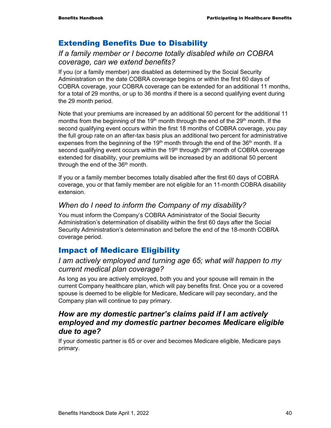### Extending Benefits Due to Disability

### *If a family member or I become totally disabled while on COBRA coverage, can we extend benefits?*

If you (or a family member) are disabled as determined by the Social Security Administration on the date COBRA coverage begins or within the first 60 days of COBRA coverage, your COBRA coverage can be extended for an additional 11 months, for a total of 29 months, or up to 36 months if there is a second qualifying event during the 29 month period.

Note that your premiums are increased by an additional 50 percent for the additional 11 months from the beginning of the 19<sup>th</sup> month through the end of the 29<sup>th</sup> month. If the second qualifying event occurs within the first 18 months of COBRA coverage, you pay the full group rate on an after-tax basis plus an additional two percent for administrative expenses from the beginning of the 19<sup>th</sup> month through the end of the 36<sup>th</sup> month. If a second qualifying event occurs within the 19<sup>th</sup> through 29<sup>th</sup> month of COBRA coverage extended for disability, your premiums will be increased by an additional 50 percent through the end of the  $36<sup>th</sup>$  month.

If you or a family member becomes totally disabled after the first 60 days of COBRA coverage, you or that family member are not eligible for an 11-month COBRA disability extension.

### *When do I need to inform the Company of my disability?*

You must inform the Company's COBRA Administrator of the Social Security Administration's determination of disability within the first 60 days after the Social Security Administration's determination and before the end of the 18-month COBRA coverage period.

### Impact of Medicare Eligibility

#### *I am actively employed and turning age 65; what will happen to my current medical plan coverage?*

As long as you are actively employed, both you and your spouse will remain in the current Company healthcare plan, which will pay benefits first. Once you or a covered spouse is deemed to be eligible for Medicare, Medicare will pay secondary, and the Company plan will continue to pay primary.

### *How are my domestic partner's claims paid if I am actively employed and my domestic partner becomes Medicare eligible due to age?*

If your domestic partner is 65 or over and becomes Medicare eligible, Medicare pays primary.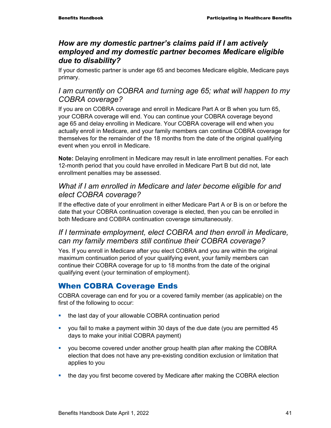### *How are my domestic partner's claims paid if I am actively employed and my domestic partner becomes Medicare eligible due to disability?*

If your domestic partner is under age 65 and becomes Medicare eligible, Medicare pays primary.

### *I am currently on COBRA and turning age 65; what will happen to my COBRA coverage?*

If you are on COBRA coverage and enroll in Medicare Part A or B when you turn 65, your COBRA coverage will end. You can continue your COBRA coverage beyond age 65 and delay enrolling in Medicare. Your COBRA coverage will end when you actually enroll in Medicare, and your family members can continue COBRA coverage for themselves for the remainder of the 18 months from the date of the original qualifying event when you enroll in Medicare.

**Note:** Delaying enrollment in Medicare may result in late enrollment penalties. For each 12-month period that you could have enrolled in Medicare Part B but did not, late enrollment penalties may be assessed.

### *What if I am enrolled in Medicare and later become eligible for and elect COBRA coverage?*

If the effective date of your enrollment in either Medicare Part A or B is on or before the date that your COBRA continuation coverage is elected, then you can be enrolled in both Medicare and COBRA continuation coverage simultaneously.

### *If I terminate employment, elect COBRA and then enroll in Medicare, can my family members still continue their COBRA coverage?*

Yes. If you enroll in Medicare after you elect COBRA and you are within the original maximum continuation period of your qualifying event, your family members can continue their COBRA coverage for up to 18 months from the date of the original qualifying event (your termination of employment).

# When COBRA Coverage Ends

COBRA coverage can end for you or a covered family member (as applicable) on the first of the following to occur:

- the last day of your allowable COBRA continuation period
- you fail to make a payment within 30 days of the due date (you are permitted 45 days to make your initial COBRA payment)
- you become covered under another group health plan after making the COBRA election that does not have any pre-existing condition exclusion or limitation that applies to you
- the day you first become covered by Medicare after making the COBRA election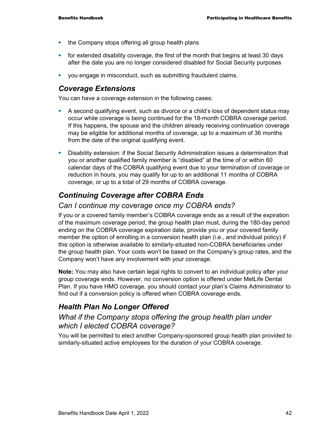- the Company stops offering all group health plans
- **for extended disability coverage, the first of the month that begins at least 30 days** after the date you are no longer considered disabled for Social Security purposes
- you engage in misconduct, such as submitting fraudulent claims.

#### *Coverage Extensions*

You can have a coverage extension in the following cases:

- A second qualifying event, such as divorce or a child's loss of dependent status may occur while coverage is being continued for the 18-month COBRA coverage period. If this happens, the spouse and the children already receiving continuation coverage may be eligible for additional months of coverage, up to a maximum of 36 months from the date of the original qualifying event.
- Disability extension: if the Social Security Administration issues a determination that you or another qualified family member is "disabled" at the time of or within 60 calendar days of the COBRA qualifying event due to your termination of coverage or reduction in hours, you may qualify for up to an additional 11 months of COBRA coverage, or up to a total of 29 months of COBRA coverage.

# *Continuing Coverage after COBRA Ends*

#### *Can I continue my coverage once my COBRA ends?*

If you or a covered family member's COBRA coverage ends as a result of the expiration of the maximum coverage period, the group health plan must, during the 180-day period ending on the COBRA coverage expiration date, provide you or your covered family member the option of enrolling in a conversion health plan (i.e., and individual policy) if this option is otherwise available to similarly-situated non-COBRA beneficiaries under the group health plan. Your costs won't be based on the Company's group rates, and the Company won't have any involvement with your coverage.

**Note:** You may also have certain legal rights to convert to an individual policy after your group coverage ends. However, no conversion option is offered under MetLife Dental Plan. If you have HMO coverage, you should contact your plan's Claims Administrator to find out if a conversion policy is offered when COBRA coverage ends.

# *Health Plan No Longer Offered*

#### *What if the Company stops offering the group health plan under which I elected COBRA coverage?*

You will be permitted to elect another Company-sponsored group health plan provided to similarly-situated active employees for the duration of your COBRA coverage.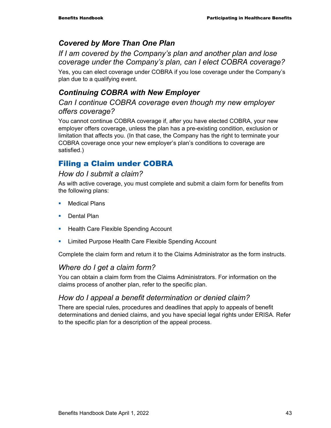# *Covered by More Than One Plan*

*If I am covered by the Company's plan and another plan and lose coverage under the Company's plan, can I elect COBRA coverage?* 

Yes, you can elect coverage under COBRA if you lose coverage under the Company's plan due to a qualifying event.

# *Continuing COBRA with New Employer*

### *Can I continue COBRA coverage even though my new employer offers coverage?*

You cannot continue COBRA coverage if, after you have elected COBRA, your new employer offers coverage, unless the plan has a pre-existing condition, exclusion or limitation that affects you. (In that case, the Company has the right to terminate your COBRA coverage once your new employer's plan's conditions to coverage are satisfied.)

# Filing a Claim under COBRA

#### *How do I submit a claim?*

As with active coverage, you must complete and submit a claim form for benefits from the following plans:

- **Nedical Plans**
- **Dental Plan**
- **Health Care Flexible Spending Account**
- **EXECT** Limited Purpose Health Care Flexible Spending Account

Complete the claim form and return it to the Claims Administrator as the form instructs.

### *Where do I get a claim form?*

You can obtain a claim form from the Claims Administrators. For information on the claims process of another plan, refer to the specific plan.

### *How do I appeal a benefit determination or denied claim?*

There are special rules, procedures and deadlines that apply to appeals of benefit determinations and denied claims, and you have special legal rights under ERISA. Refer to the specific plan for a description of the appeal process.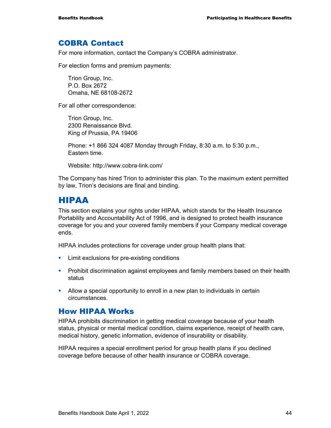#### COBRA Contact

For more information, contact the Company's COBRA administrator.

For election forms and premium payments:

Trion Group, Inc. P.O. Box 2672 Omaha, NE 68108-2672

For all other correspondence:

Trion Group, Inc. 2300 Renaissance Blvd. King of Prussia, PA 19406

Phone: +1 866 324 4087 Monday through Friday, 8:30 a.m. to 5:30 p.m., Eastern time.

Website: http://www.cobra-link.com/

The Company has hired Trion to administer this plan. To the maximum extent permitted by law, Trion's decisions are final and binding.

### HIPAA

This section explains your rights under HIPAA, which stands for the Health Insurance Portability and Accountability Act of 1996, and is designed to protect health insurance coverage for you and your covered family members if your Company medical coverage ends.

HIPAA includes protections for coverage under group health plans that:

- **EXECUTE:** Limit exclusions for pre-existing conditions
- **Prohibit discrimination against employees and family members based on their health** status
- Allow a special opportunity to enroll in a new plan to individuals in certain circumstances.

#### How HIPAA Works

HIPAA prohibits discrimination in getting medical coverage because of your health status, physical or mental medical condition, claims experience, receipt of health care, medical history, genetic information, evidence of insurability or disability.

HIPAA requires a special enrollment period for group health plans if you declined coverage before because of other health insurance or COBRA coverage.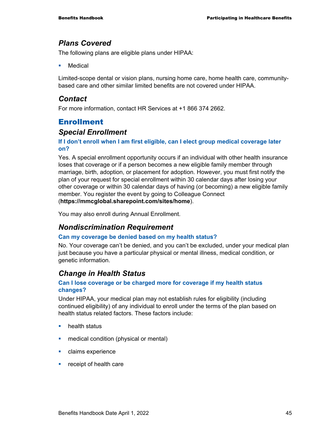### *Plans Covered*

The following plans are eligible plans under HIPAA:

Medical

Limited-scope dental or vision plans, nursing home care, home health care, communitybased care and other similar limited benefits are not covered under HIPAA.

### *Contact*

For more information, contact HR Services at +1 866 374 2662.

# Enrollment

### *Special Enrollment*

#### **If I don't enroll when I am first eligible, can I elect group medical coverage later on?**

Yes. A special enrollment opportunity occurs if an individual with other health insurance loses that coverage or if a person becomes a new eligible family member through marriage, birth, adoption, or placement for adoption. However, you must first notify the plan of your request for special enrollment within 30 calendar days after losing your other coverage or within 30 calendar days of having (or becoming) a new eligible family member. You register the event by going to Colleague Connect (**https://mmcglobal.sharepoint.com/sites/home**).

You may also enroll during Annual Enrollment.

### *Nondiscrimination Requirement*

#### **Can my coverage be denied based on my health status?**

No. Your coverage can't be denied, and you can't be excluded, under your medical plan just because you have a particular physical or mental illness, medical condition, or genetic information.

### *Change in Health Status*

#### **Can I lose coverage or be charged more for coverage if my health status changes?**

Under HIPAA, your medical plan may not establish rules for eligibility (including continued eligibility) of any individual to enroll under the terms of the plan based on health status related factors. These factors include:

- **health status**
- **n** medical condition (physical or mental)
- **Claims experience**
- **Fig.** receipt of health care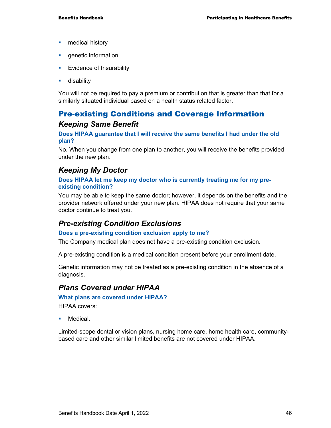- **n** medical history
- **genetic information**
- **Evidence of Insurability**
- **disability**

You will not be required to pay a premium or contribution that is greater than that for a similarly situated individual based on a health status related factor.

# Pre-existing Conditions and Coverage Information *Keeping Same Benefit*

#### **Does HIPAA guarantee that I will receive the same benefits I had under the old plan?**

No. When you change from one plan to another, you will receive the benefits provided under the new plan.

### *Keeping My Doctor*

#### **Does HIPAA let me keep my doctor who is currently treating me for my preexisting condition?**

You may be able to keep the same doctor; however, it depends on the benefits and the provider network offered under your new plan. HIPAA does not require that your same doctor continue to treat you.

### *Pre-existing Condition Exclusions*

#### **Does a pre-existing condition exclusion apply to me?**

The Company medical plan does not have a pre-existing condition exclusion.

A pre-existing condition is a medical condition present before your enrollment date.

Genetic information may not be treated as a pre-existing condition in the absence of a diagnosis.

#### *Plans Covered under HIPAA*

#### **What plans are covered under HIPAA?**

HIPAA covers:

Medical.

Limited-scope dental or vision plans, nursing home care, home health care, communitybased care and other similar limited benefits are not covered under HIPAA.